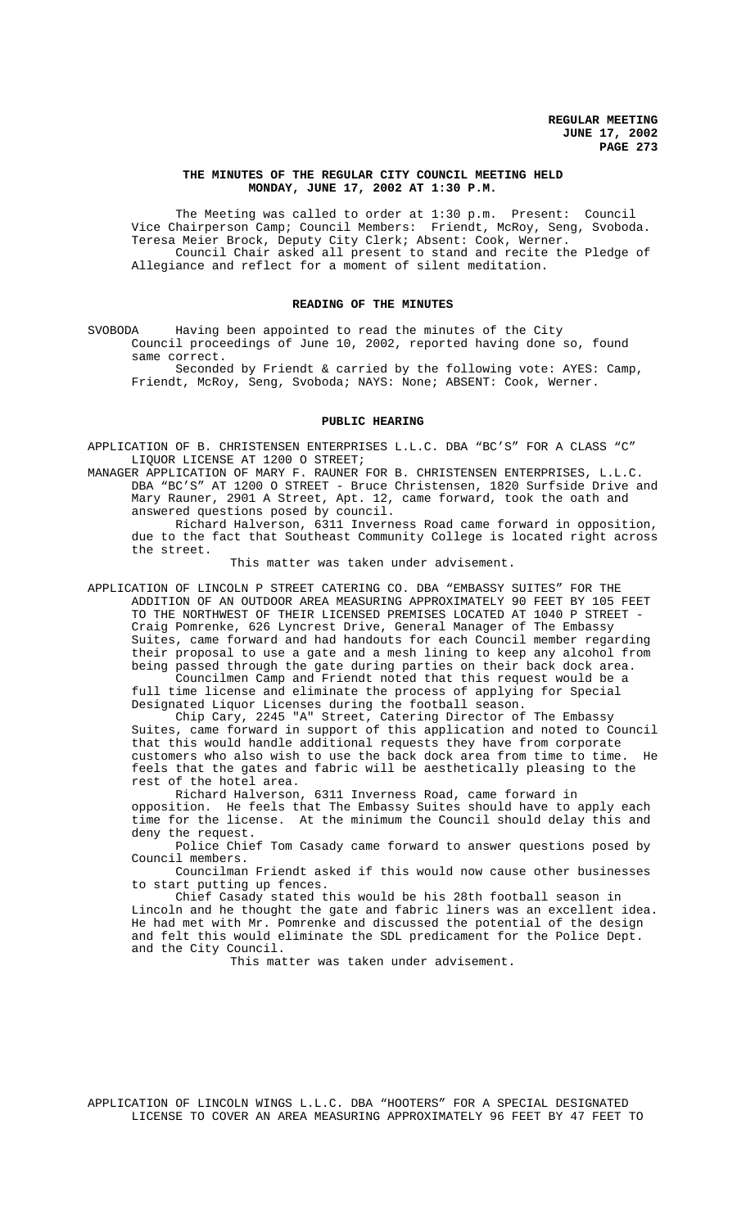## **THE MINUTES OF THE REGULAR CITY COUNCIL MEETING HELD MONDAY, JUNE 17, 2002 AT 1:30 P.M.**

The Meeting was called to order at 1:30 p.m. Present: Council Vice Chairperson Camp; Council Members: Friendt, McRoy, Seng, Svoboda. Teresa Meier Brock, Deputy City Clerk; Absent: Cook, Werner. Council Chair asked all present to stand and recite the Pledge of Allegiance and reflect for a moment of silent meditation.

#### **READING OF THE MINUTES**

SVOBODA Having been appointed to read the minutes of the City Council proceedings of June 10, 2002, reported having done so, found same correct.

Seconded by Friendt & carried by the following vote: AYES: Camp, Friendt, McRoy, Seng, Svoboda; NAYS: None; ABSENT: Cook, Werner.

# **PUBLIC HEARING**

APPLICATION OF B. CHRISTENSEN ENTERPRISES L.L.C. DBA "BC'S" FOR A CLASS "C" LIQUOR LICENSE AT 1200 O STREET;

MANAGER APPLICATION OF MARY F. RAUNER FOR B. CHRISTENSEN ENTERPRISES, L.L.C. DBA "BC'S" AT 1200 O STREET - Bruce Christensen, 1820 Surfside Drive and Mary Rauner, 2901 A Street, Apt. 12, came forward, took the oath and answered questions posed by council.

Richard Halverson, 6311 Inverness Road came forward in opposition, due to the fact that Southeast Community College is located right across the street.

This matter was taken under advisement.

APPLICATION OF LINCOLN P STREET CATERING CO. DBA "EMBASSY SUITES" FOR THE ADDITION OF AN OUTDOOR AREA MEASURING APPROXIMATELY 90 FEET BY 105 FEET TO THE NORTHWEST OF THEIR LICENSED PREMISES LOCATED AT 1040 P STREET - Craig Pomrenke, 626 Lyncrest Drive, General Manager of The Embassy Suites, came forward and had handouts for each Council member regarding their proposal to use a gate and a mesh lining to keep any alcohol from being passed through the gate during parties on their back dock area.

Councilmen Camp and Friendt noted that this request would be a full time license and eliminate the process of applying for Special Designated Liquor Licenses during the football season.

Chip Cary, 2245 "A" Street, Catering Director of The Embassy Suites, came forward in support of this application and noted to Council that this would handle additional requests they have from corporate customers who also wish to use the back dock area from time to time. He feels that the gates and fabric will be aesthetically pleasing to the rest of the hotel area.

Richard Halverson, 6311 Inverness Road, came forward in opposition. He feels that The Embassy Suites should have to apply each time for the license. At the minimum the Council should delay this and deny the request.

Police Chief Tom Casady came forward to answer questions posed by Council members.

Councilman Friendt asked if this would now cause other businesses to start putting up fences.

Chief Casady stated this would be his 28th football season in Lincoln and he thought the gate and fabric liners was an excellent idea. He had met with Mr. Pomrenke and discussed the potential of the design and felt this would eliminate the SDL predicament for the Police Dept. and the City Council.

This matter was taken under advisement.

APPLICATION OF LINCOLN WINGS L.L.C. DBA "HOOTERS" FOR A SPECIAL DESIGNATED LICENSE TO COVER AN AREA MEASURING APPROXIMATELY 96 FEET BY 47 FEET TO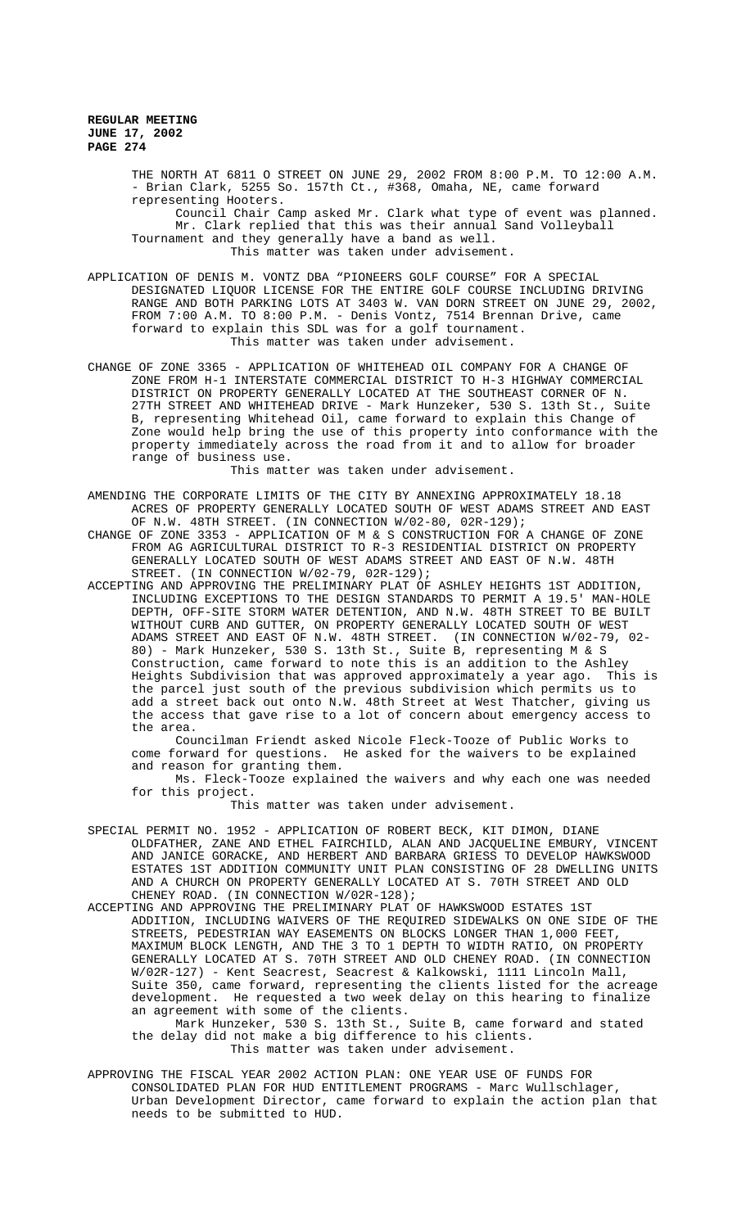THE NORTH AT 6811 O STREET ON JUNE 29, 2002 FROM 8:00 P.M. TO 12:00 A.M. - Brian Clark, 5255 So. 157th Ct., #368, Omaha, NE, came forward representing Hooters. Council Chair Camp asked Mr. Clark what type of event was planned. Mr. Clark replied that this was their annual Sand Volleyball Tournament and they generally have a band as well. This matter was taken under advisement.

APPLICATION OF DENIS M. VONTZ DBA "PIONEERS GOLF COURSE" FOR A SPECIAL DESIGNATED LIQUOR LICENSE FOR THE ENTIRE GOLF COURSE INCLUDING DRIVING RANGE AND BOTH PARKING LOTS AT 3403 W. VAN DORN STREET ON JUNE 29, 2002, FROM 7:00 A.M. TO 8:00 P.M. - Denis Vontz, 7514 Brennan Drive, came forward to explain this SDL was for a golf tournament. This matter was taken under advisement.

CHANGE OF ZONE 3365 - APPLICATION OF WHITEHEAD OIL COMPANY FOR A CHANGE OF ZONE FROM H-1 INTERSTATE COMMERCIAL DISTRICT TO H-3 HIGHWAY COMMERCIAL DISTRICT ON PROPERTY GENERALLY LOCATED AT THE SOUTHEAST CORNER OF N. 27TH STREET AND WHITEHEAD DRIVE - Mark Hunzeker, 530 S. 13th St., Suite B, representing Whitehead Oil, came forward to explain this Change of Zone would help bring the use of this property into conformance with the property immediately across the road from it and to allow for broader range of business use.

This matter was taken under advisement.

- AMENDING THE CORPORATE LIMITS OF THE CITY BY ANNEXING APPROXIMATELY 18.18 ACRES OF PROPERTY GENERALLY LOCATED SOUTH OF WEST ADAMS STREET AND EAST OF N.W. 48TH STREET. (IN CONNECTION W/02-80, 02R-129);
- CHANGE OF ZONE 3353 APPLICATION OF M & S CONSTRUCTION FOR A CHANGE OF ZONE FROM AG AGRICULTURAL DISTRICT TO R-3 RESIDENTIAL DISTRICT ON PROPERTY GENERALLY LOCATED SOUTH OF WEST ADAMS STREET AND EAST OF N.W. 48TH STREET. (IN CONNECTION W/02-79, 02R-129);
- ACCEPTING AND APPROVING THE PRELIMINARY PLAT OF ASHLEY HEIGHTS 1ST ADDITION, INCLUDING EXCEPTIONS TO THE DESIGN STANDARDS TO PERMIT A 19.5' MAN-HOLE DEPTH, OFF-SITE STORM WATER DETENTION, AND N.W. 48TH STREET TO BE BUILT WITHOUT CURB AND GUTTER, ON PROPERTY GENERALLY LOCATED SOUTH OF WEST ADAMS STREET AND EAST OF N.W. 48TH STREET. (IN CONNECTION W/02-79, 02- 80) - Mark Hunzeker, 530 S. 13th St., Suite B, representing M & S Construction, came forward to note this is an addition to the Ashley Heights Subdivision that was approved approximately a year ago. This is the parcel just south of the previous subdivision which permits us to add a street back out onto N.W. 48th Street at West Thatcher, giving us the access that gave rise to a lot of concern about emergency access to the area.

Councilman Friendt asked Nicole Fleck-Tooze of Public Works to come forward for questions. He asked for the waivers to be explained and reason for granting them.

Ms. Fleck-Tooze explained the waivers and why each one was needed for this project.

This matter was taken under advisement.

- SPECIAL PERMIT NO. 1952 APPLICATION OF ROBERT BECK, KIT DIMON, DIANE OLDFATHER, ZANE AND ETHEL FAIRCHILD, ALAN AND JACQUELINE EMBURY, VINCENT AND JANICE GORACKE, AND HERBERT AND BARBARA GRIESS TO DEVELOP HAWKSWOOD ESTATES 1ST ADDITION COMMUNITY UNIT PLAN CONSISTING OF 28 DWELLING UNITS AND A CHURCH ON PROPERTY GENERALLY LOCATED AT S. 70TH STREET AND OLD CHENEY ROAD. (IN CONNECTION W/02R-128);
- ACCEPTING AND APPROVING THE PRELIMINARY PLAT OF HAWKSWOOD ESTATES 1ST ADDITION, INCLUDING WAIVERS OF THE REQUIRED SIDEWALKS ON ONE SIDE OF THE STREETS, PEDESTRIAN WAY EASEMENTS ON BLOCKS LONGER THAN 1,000 FEET, MAXIMUM BLOCK LENGTH, AND THE 3 TO 1 DEPTH TO WIDTH RATIO, ON PROPERTY GENERALLY LOCATED AT S. 70TH STREET AND OLD CHENEY ROAD. (IN CONNECTION W/02R-127) - Kent Seacrest, Seacrest & Kalkowski, 1111 Lincoln Mall, Suite 350, came forward, representing the clients listed for the acreage development. He requested a two week delay on this hearing to finalize an agreement with some of the clients.
	- Mark Hunzeker, 530 S. 13th St., Suite B, came forward and stated the delay did not make a big difference to his clients. This matter was taken under advisement.
- APPROVING THE FISCAL YEAR 2002 ACTION PLAN: ONE YEAR USE OF FUNDS FOR CONSOLIDATED PLAN FOR HUD ENTITLEMENT PROGRAMS - Marc Wullschlager, Urban Development Director, came forward to explain the action plan that needs to be submitted to HUD.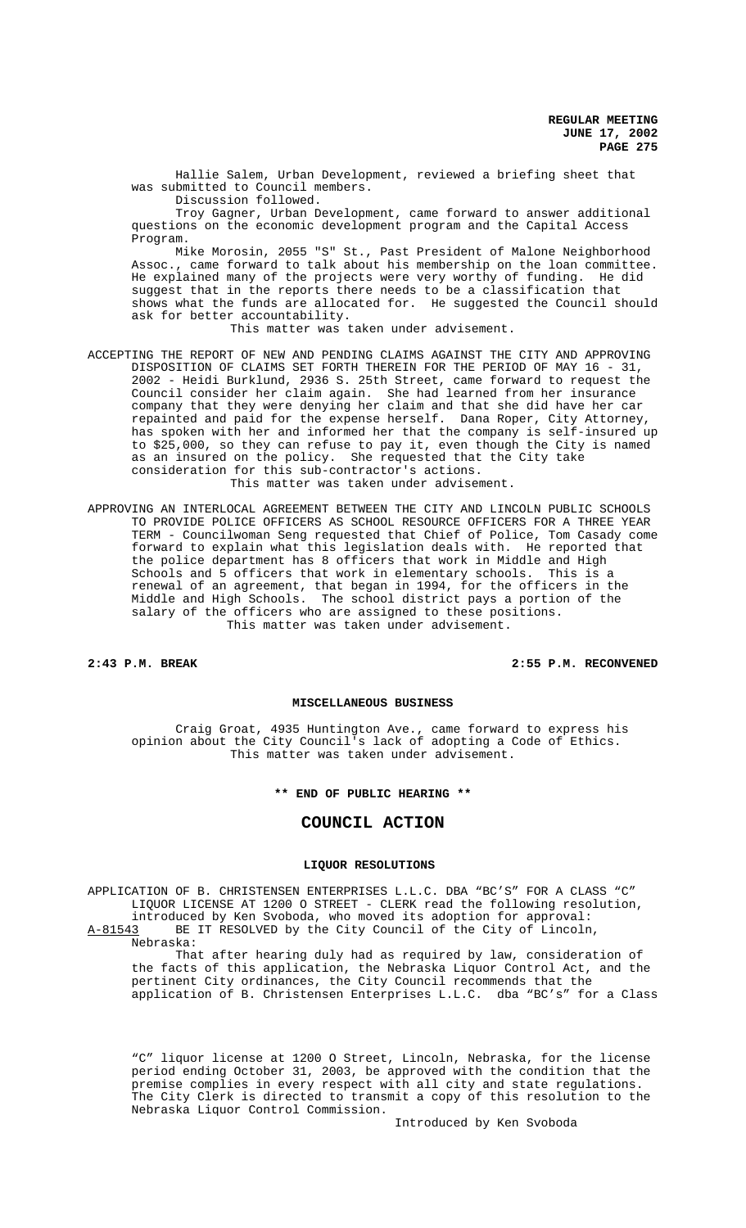Hallie Salem, Urban Development, reviewed a briefing sheet that was submitted to Council members.

Discussion followed.

Troy Gagner, Urban Development, came forward to answer additional questions on the economic development program and the Capital Access Program.

Mike Morosin, 2055 "S" St., Past President of Malone Neighborhood Assoc., came forward to talk about his membership on the loan committee. He explained many of the projects were very worthy of funding. He did suggest that in the reports there needs to be a classification that shows what the funds are allocated for. He suggested the Council should ask for better accountability.

This matter was taken under advisement.

- ACCEPTING THE REPORT OF NEW AND PENDING CLAIMS AGAINST THE CITY AND APPROVING DISPOSITION OF CLAIMS SET FORTH THEREIN FOR THE PERIOD OF MAY 16 - 31, 2002 - Heidi Burklund, 2936 S. 25th Street, came forward to request the Council consider her claim again. She had learned from her insurance company that they were denying her claim and that she did have her car repainted and paid for the expense herself. Dana Roper, City Attorney, has spoken with her and informed her that the company is self-insured up to \$25,000, so they can refuse to pay it, even though the City is named as an insured on the policy. She requested that the City take consideration for this sub-contractor's actions. This matter was taken under advisement.
- APPROVING AN INTERLOCAL AGREEMENT BETWEEN THE CITY AND LINCOLN PUBLIC SCHOOLS TO PROVIDE POLICE OFFICERS AS SCHOOL RESOURCE OFFICERS FOR A THREE YEAR TERM - Councilwoman Seng requested that Chief of Police, Tom Casady come forward to explain what this legislation deals with. He reported that the police department has 8 officers that work in Middle and High<br>Schools and 5 officers that work in elementary schools. This is a Schools and 5 officers that work in elementary schools. renewal of an agreement, that began in 1994, for the officers in the Middle and High Schools. The school district pays a portion of the salary of the officers who are assigned to these positions. This matter was taken under advisement.

**2:43 P.M. BREAK 2:55 P.M. RECONVENED**

## **MISCELLANEOUS BUSINESS**

Craig Groat, 4935 Huntington Ave., came forward to express his opinion about the City Council's lack of adopting a Code of Ethics. This matter was taken under advisement.

#### **\*\* END OF PUBLIC HEARING \*\***

# **COUNCIL ACTION**

# **LIQUOR RESOLUTIONS**

APPLICATION OF B. CHRISTENSEN ENTERPRISES L.L.C. DBA "BC'S" FOR A CLASS "C" LIQUOR LICENSE AT 1200 O STREET - CLERK read the following resolution, introduced by Ken Svoboda, who moved its adoption for approval: A-81543 BE IT RESOLVED by the City Council of the City of Lincoln,

Nebraska:

That after hearing duly had as required by law, consideration of the facts of this application, the Nebraska Liquor Control Act, and the pertinent City ordinances, the City Council recommends that the application of B. Christensen Enterprises L.L.C. dba "BC's" for a Class

"C" liquor license at 1200 O Street, Lincoln, Nebraska, for the license period ending October 31, 2003, be approved with the condition that the premise complies in every respect with all city and state regulations. The City Clerk is directed to transmit a copy of this resolution to the Nebraska Liquor Control Commission.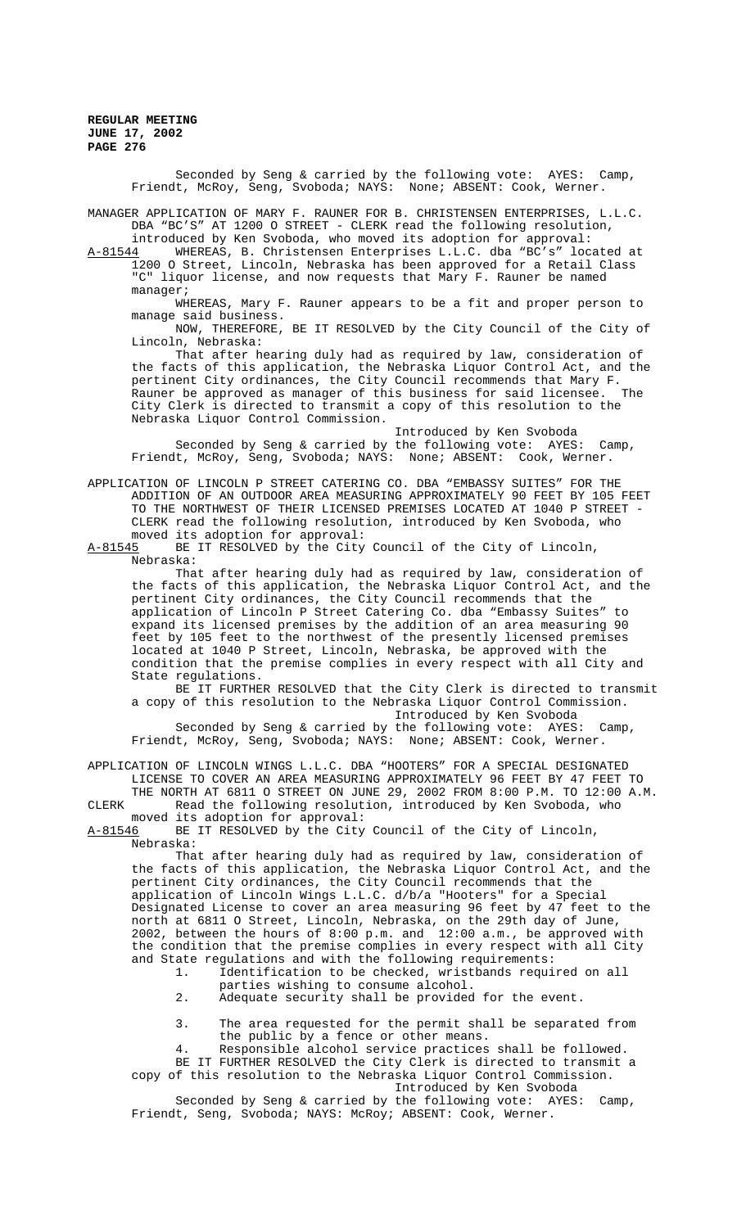> Seconded by Seng & carried by the following vote: AYES: Camp, Friendt, McRoy, Seng, Svoboda; NAYS: None; ABSENT: Cook, Werner.

MANAGER APPLICATION OF MARY F. RAUNER FOR B. CHRISTENSEN ENTERPRISES, L.L.C. DBA "BC'S" AT 1200 O STREET - CLERK read the following resolution, introduced by Ken Svoboda, who moved its adoption for approval:

A-81544 WHEREAS, B. Christensen Enterprises L.L.C. dba "BC's" located at 1200 O Street, Lincoln, Nebraska has been approved for a Retail Class "C" liquor license, and now requests that Mary F. Rauner be named manager;

WHEREAS, Mary F. Rauner appears to be a fit and proper person to manage said business.

NOW, THEREFORE, BE IT RESOLVED by the City Council of the City of Lincoln, Nebraska:

That after hearing duly had as required by law, consideration of the facts of this application, the Nebraska Liquor Control Act, and the pertinent City ordinances, the City Council recommends that Mary F.<br>Rauner be approved as manager of this business for said licensee. The Rauner be approved as manager of this business for said licensee. City Clerk is directed to transmit a copy of this resolution to the Nebraska Liquor Control Commission.

Introduced by Ken Svoboda Seconded by Seng & carried by the following vote: AYES: Camp, Friendt, McRoy, Seng, Svoboda; NAYS: None; ABSENT: Cook, Werner.

APPLICATION OF LINCOLN P STREET CATERING CO. DBA "EMBASSY SUITES" FOR THE ADDITION OF AN OUTDOOR AREA MEASURING APPROXIMATELY 90 FEET BY 105 FEET TO THE NORTHWEST OF THEIR LICENSED PREMISES LOCATED AT 1040 P STREET - CLERK read the following resolution, introduced by Ken Svoboda, who moved its adoption for approval:

A-81545 BE IT RESOLVED by the City Council of the City of Lincoln, Nebraska:

That after hearing duly had as required by law, consideration of the facts of this application, the Nebraska Liquor Control Act, and the pertinent City ordinances, the City Council recommends that the application of Lincoln P Street Catering Co. dba "Embassy Suites" to expand its licensed premises by the addition of an area measuring 90 feet by 105 feet to the northwest of the presently licensed premises located at 1040 P Street, Lincoln, Nebraska, be approved with the condition that the premise complies in every respect with all City and State regulations.

BE IT FURTHER RESOLVED that the City Clerk is directed to transmit a copy of this resolution to the Nebraska Liquor Control Commission. Introduced by Ken Svoboda

Seconded by Seng & carried by the following vote: AYES: Camp, Friendt, McRoy, Seng, Svoboda; NAYS: None; ABSENT: Cook, Werner.

APPLICATION OF LINCOLN WINGS L.L.C. DBA "HOOTERS" FOR A SPECIAL DESIGNATED LICENSE TO COVER AN AREA MEASURING APPROXIMATELY 96 FEET BY 47 FEET TO THE NORTH AT 6811 O STREET ON JUNE 29, 2002 FROM 8:00 P.M. TO 12:00 A.M.

CLERK Read the following resolution, introduced by Ken Svoboda, who moved its adoption for approval:<br>A-81546 BE IT RESOLVED by the City

BE IT RESOLVED by the City Council of the City of Lincoln, Nebraska:

That after hearing duly had as required by law, consideration of the facts of this application, the Nebraska Liquor Control Act, and the pertinent City ordinances, the City Council recommends that the application of Lincoln Wings L.L.C. d/b/a "Hooters" for a Special Designated License to cover an area measuring 96 feet by 47 feet to the north at 6811 O Street, Lincoln, Nebraska, on the 29th day of June, 2002, between the hours of 8:00 p.m. and 12:00 a.m., be approved with the condition that the premise complies in every respect with all City and State regulations and with the following requirements:<br>1. Tdentification to be checked, wristbands requi

1. Identification to be checked, wristbands required on all parties wishing to consume alcohol.

2. Adequate security shall be provided for the event.

- 3. The area requested for the permit shall be separated from the public by a fence or other means.
- 4. Responsible alcohol service practices shall be followed. BE IT FURTHER RESOLVED the City Clerk is directed to transmit a

copy of this resolution to the Nebraska Liquor Control Commission. Introduced by Ken Svoboda

Seconded by Seng & carried by the following vote: AYES: Camp, Friendt, Seng, Svoboda; NAYS: McRoy; ABSENT: Cook, Werner.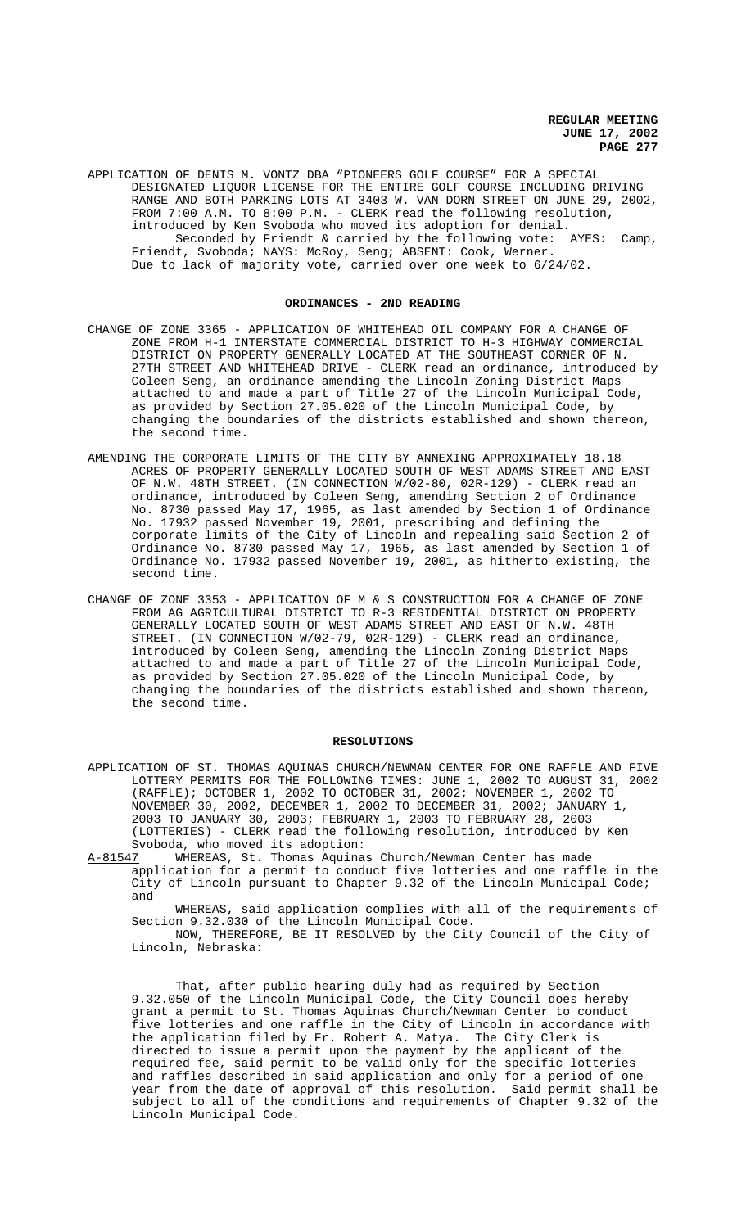APPLICATION OF DENIS M. VONTZ DBA "PIONEERS GOLF COURSE" FOR A SPECIAL DESIGNATED LIQUOR LICENSE FOR THE ENTIRE GOLF COURSE INCLUDING DRIVING RANGE AND BOTH PARKING LOTS AT 3403 W. VAN DORN STREET ON JUNE 29, 2002, FROM 7:00 A.M. TO 8:00 P.M. - CLERK read the following resolution, introduced by Ken Svoboda who moved its adoption for denial.<br>Seconded by Friendt & carried by the following vote: AYES: Camp, Seconded by Friendt & carried by the following vote: AYES: Camp, Friendt, Svoboda; NAYS: McRoy, Seng; ABSENT: Cook, Werner. Due to lack of majority vote, carried over one week to 6/24/02.

## **ORDINANCES - 2ND READING**

- CHANGE OF ZONE 3365 APPLICATION OF WHITEHEAD OIL COMPANY FOR A CHANGE OF ZONE FROM H-1 INTERSTATE COMMERCIAL DISTRICT TO H-3 HIGHWAY COMMERCIAL DISTRICT ON PROPERTY GENERALLY LOCATED AT THE SOUTHEAST CORNER OF N. 27TH STREET AND WHITEHEAD DRIVE - CLERK read an ordinance, introduced by Coleen Seng, an ordinance amending the Lincoln Zoning District Maps attached to and made a part of Title 27 of the Lincoln Municipal Code, as provided by Section 27.05.020 of the Lincoln Municipal Code, by changing the boundaries of the districts established and shown thereon, the second time.
- AMENDING THE CORPORATE LIMITS OF THE CITY BY ANNEXING APPROXIMATELY 18.18 ACRES OF PROPERTY GENERALLY LOCATED SOUTH OF WEST ADAMS STREET AND EAST OF N.W. 48TH STREET. (IN CONNECTION W/02-80, 02R-129) - CLERK read an ordinance, introduced by Coleen Seng, amending Section 2 of Ordinance No. 8730 passed May 17, 1965, as last amended by Section 1 of Ordinance No. 17932 passed November 19, 2001, prescribing and defining the corporate limits of the City of Lincoln and repealing said Section 2 of Ordinance No. 8730 passed May 17, 1965, as last amended by Section 1 of Ordinance No. 17932 passed November 19, 2001, as hitherto existing, the second time.
- CHANGE OF ZONE 3353 APPLICATION OF M & S CONSTRUCTION FOR A CHANGE OF ZONE FROM AG AGRICULTURAL DISTRICT TO R-3 RESIDENTIAL DISTRICT ON PROPERTY GENERALLY LOCATED SOUTH OF WEST ADAMS STREET AND EAST OF N.W. 48TH STREET. (IN CONNECTION W/02-79, 02R-129) - CLERK read an ordinance, introduced by Coleen Seng, amending the Lincoln Zoning District Maps attached to and made a part of Title 27 of the Lincoln Municipal Code, as provided by Section 27.05.020 of the Lincoln Municipal Code, by changing the boundaries of the districts established and shown thereon, the second time.

#### **RESOLUTIONS**

APPLICATION OF ST. THOMAS AQUINAS CHURCH/NEWMAN CENTER FOR ONE RAFFLE AND FIVE LOTTERY PERMITS FOR THE FOLLOWING TIMES: JUNE 1, 2002 TO AUGUST 31, 2002 (RAFFLE); OCTOBER 1, 2002 TO OCTOBER 31, 2002; NOVEMBER 1, 2002 TO NOVEMBER 30, 2002, DECEMBER 1, 2002 TO DECEMBER 31, 2002; JANUARY 1, 2003 TO JANUARY 30, 2003; FEBRUARY 1, 2003 TO FEBRUARY 28, 2003 (LOTTERIES) - CLERK read the following resolution, introduced by Ken Svoboda, who moved its adoption:

A-81547 WHEREAS, St. Thomas Aquinas Church/Newman Center has made application for a permit to conduct five lotteries and one raffle in the City of Lincoln pursuant to Chapter 9.32 of the Lincoln Municipal Code; and

WHEREAS, said application complies with all of the requirements of Section 9.32.030 of the Lincoln Municipal Code.

NOW, THEREFORE, BE IT RESOLVED by the City Council of the City of Lincoln, Nebraska:

That, after public hearing duly had as required by Section 9.32.050 of the Lincoln Municipal Code, the City Council does hereby grant a permit to St. Thomas Aquinas Church/Newman Center to conduct five lotteries and one raffle in the City of Lincoln in accordance with the application filed by Fr. Robert A. Matya. The City Clerk is directed to issue a permit upon the payment by the applicant of the required fee, said permit to be valid only for the specific lotteries and raffles described in said application and only for a period of one year from the date of approval of this resolution. Said permit shall be subject to all of the conditions and requirements of Chapter 9.32 of the Lincoln Municipal Code.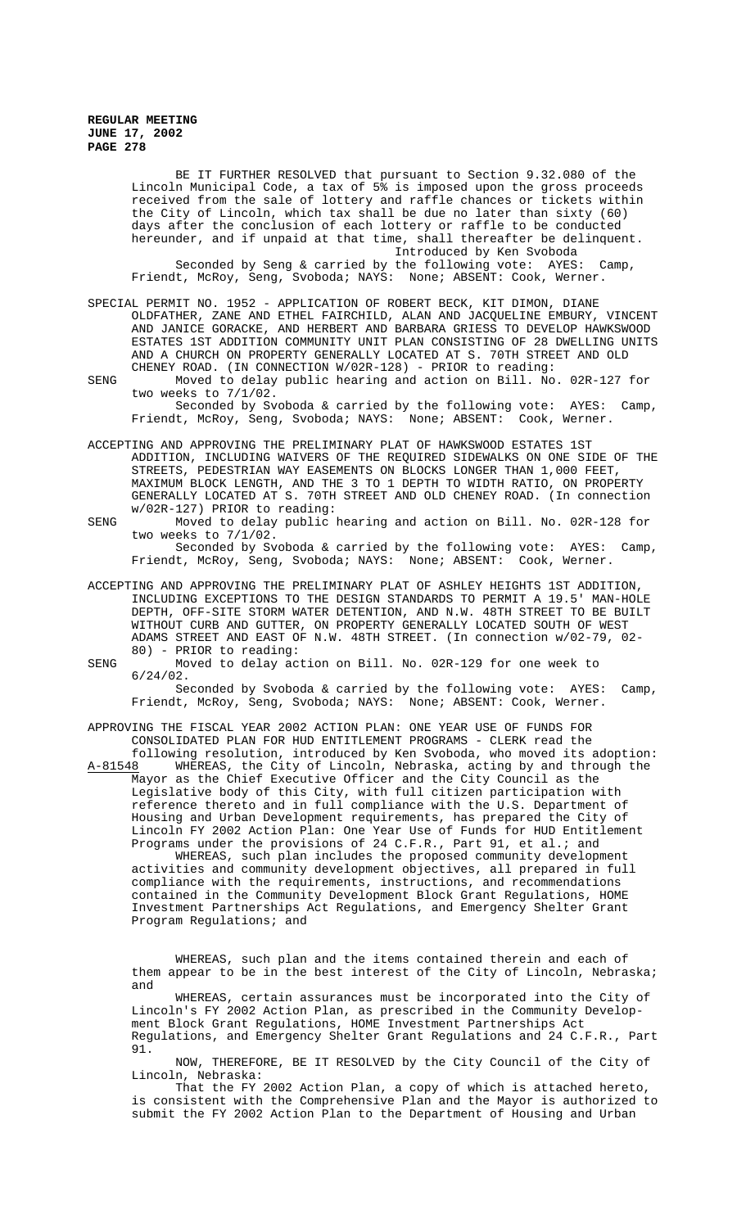BE IT FURTHER RESOLVED that pursuant to Section 9.32.080 of the Lincoln Municipal Code, a tax of 5% is imposed upon the gross proceeds received from the sale of lottery and raffle chances or tickets within the City of Lincoln, which tax shall be due no later than sixty (60) days after the conclusion of each lottery or raffle to be conducted hereunder, and if unpaid at that time, shall thereafter be delinquent. Introduced by Ken Svoboda

Seconded by Seng & carried by the following vote: AYES: Camp, Friendt, McRoy, Seng, Svoboda; NAYS: None; ABSENT: Cook, Werner.

SPECIAL PERMIT NO. 1952 - APPLICATION OF ROBERT BECK, KIT DIMON, DIANE OLDFATHER, ZANE AND ETHEL FAIRCHILD, ALAN AND JACQUELINE EMBURY, VINCENT AND JANICE GORACKE, AND HERBERT AND BARBARA GRIESS TO DEVELOP HAWKSWOOD ESTATES 1ST ADDITION COMMUNITY UNIT PLAN CONSISTING OF 28 DWELLING UNITS AND A CHURCH ON PROPERTY GENERALLY LOCATED AT S. 70TH STREET AND OLD CHENEY ROAD. (IN CONNECTION W/02R-128) - PRIOR to reading:

SENG Moved to delay public hearing and action on Bill. No. 02R-127 for two weeks to 7/1/02. Seconded by Svoboda & carried by the following vote: AYES: Camp, Friendt, McRoy, Seng, Svoboda; NAYS: None; ABSENT: Cook, Werner.

ACCEPTING AND APPROVING THE PRELIMINARY PLAT OF HAWKSWOOD ESTATES 1ST ADDITION, INCLUDING WAIVERS OF THE REQUIRED SIDEWALKS ON ONE SIDE OF THE STREETS, PEDESTRIAN WAY EASEMENTS ON BLOCKS LONGER THAN 1,000 FEET, MAXIMUM BLOCK LENGTH, AND THE 3 TO 1 DEPTH TO WIDTH RATIO, ON PROPERTY GENERALLY LOCATED AT S. 70TH STREET AND OLD CHENEY ROAD. (In connection w/02R-127) PRIOR to reading:

SENG Moved to delay public hearing and action on Bill. No. 02R-128 for two weeks to 7/1/02. Seconded by Svoboda & carried by the following vote: AYES: Camp, Friendt, McRoy, Seng, Svoboda; NAYS: None; ABSENT: Cook, Werner.

ACCEPTING AND APPROVING THE PRELIMINARY PLAT OF ASHLEY HEIGHTS 1ST ADDITION, INCLUDING EXCEPTIONS TO THE DESIGN STANDARDS TO PERMIT A 19.5' MAN-HOLE DEPTH, OFF-SITE STORM WATER DETENTION, AND N.W. 48TH STREET TO BE BUILT WITHOUT CURB AND GUTTER, ON PROPERTY GENERALLY LOCATED SOUTH OF WEST ADAMS STREET AND EAST OF N.W. 48TH STREET. (In connection w/02-79, 02- 80) - PRIOR to reading:

SENG Moved to delay action on Bill. No. 02R-129 for one week to 6/24/02.

Seconded by Svoboda & carried by the following vote: AYES: Camp, Friendt, McRoy, Seng, Svoboda; NAYS: None; ABSENT: Cook, Werner.

APPROVING THE FISCAL YEAR 2002 ACTION PLAN: ONE YEAR USE OF FUNDS FOR CONSOLIDATED PLAN FOR HUD ENTITLEMENT PROGRAMS - CLERK read the following resolution, introduced by Ken Svoboda, who moved its adoption: A-81548 MHEREAS, the City of Lincoln, Nebraska, acting by and through the Mayor as the Chief Executive Officer and the City Council as the Legislative body of this City, with full citizen participation with reference thereto and in full compliance with the U.S. Department of Housing and Urban Development requirements, has prepared the City of Lincoln FY 2002 Action Plan: One Year Use of Funds for HUD Entitlement

Programs under the provisions of 24 C.F.R., Part 91, et al.; and WHEREAS, such plan includes the proposed community development activities and community development objectives, all prepared in full compliance with the requirements, instructions, and recommendations contained in the Community Development Block Grant Regulations, HOME Investment Partnerships Act Regulations, and Emergency Shelter Grant Program Regulations; and

WHEREAS, such plan and the items contained therein and each of them appear to be in the best interest of the City of Lincoln, Nebraska; and

WHEREAS, certain assurances must be incorporated into the City of Lincoln's FY 2002 Action Plan, as prescribed in the Community Development Block Grant Regulations, HOME Investment Partnerships Act Regulations, and Emergency Shelter Grant Regulations and 24 C.F.R., Part 91.

NOW, THEREFORE, BE IT RESOLVED by the City Council of the City of Lincoln, Nebraska:

That the FY 2002 Action Plan, a copy of which is attached hereto, is consistent with the Comprehensive Plan and the Mayor is authorized to submit the FY 2002 Action Plan to the Department of Housing and Urban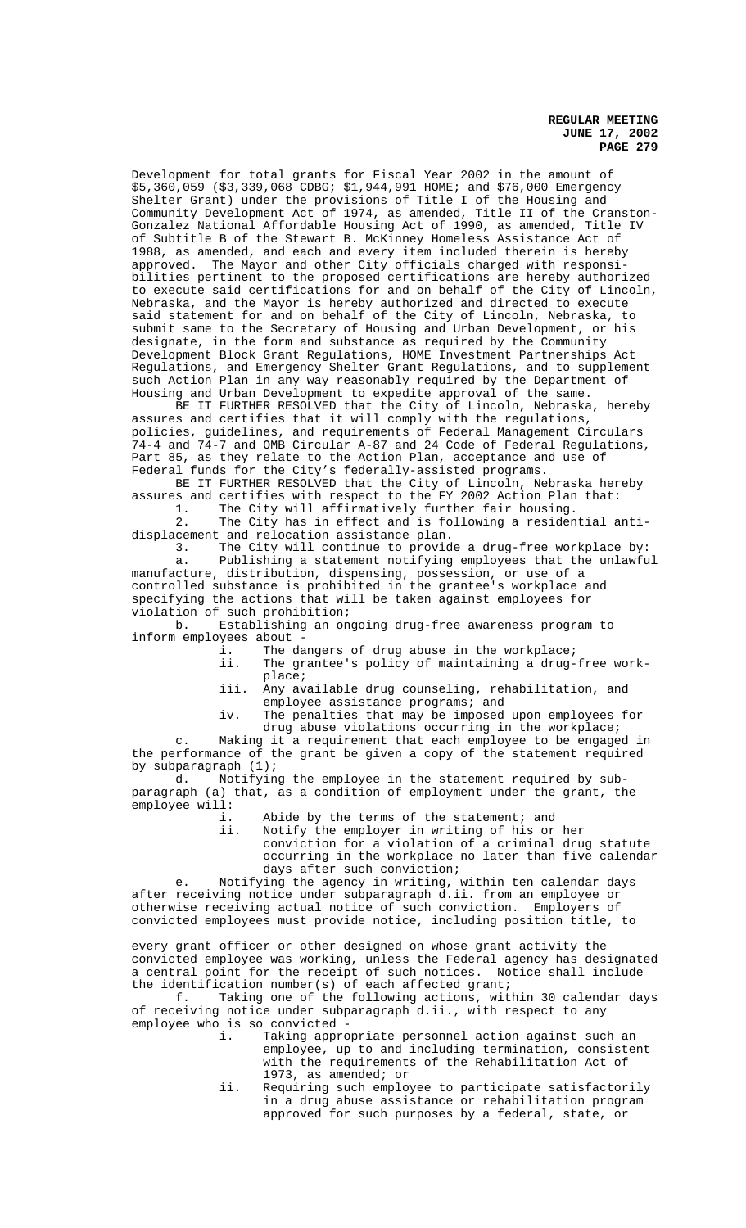Development for total grants for Fiscal Year 2002 in the amount of \$5,360,059 (\$3,339,068 CDBG; \$1,944,991 HOME; and \$76,000 Emergency Shelter Grant) under the provisions of Title I of the Housing and Community Development Act of 1974, as amended, Title II of the Cranston-Gonzalez National Affordable Housing Act of 1990, as amended, Title IV of Subtitle B of the Stewart B. McKinney Homeless Assistance Act of 1988, as amended, and each and every item included therein is hereby approved. The Mayor and other City officials charged with responsibilities pertinent to the proposed certifications are hereby authorized to execute said certifications for and on behalf of the City of Lincoln, Nebraska, and the Mayor is hereby authorized and directed to execute said statement for and on behalf of the City of Lincoln, Nebraska, to submit same to the Secretary of Housing and Urban Development, or his designate, in the form and substance as required by the Community Development Block Grant Regulations, HOME Investment Partnerships Act Regulations, and Emergency Shelter Grant Regulations, and to supplement such Action Plan in any way reasonably required by the Department of Housing and Urban Development to expedite approval of the same.

BE IT FURTHER RESOLVED that the City of Lincoln, Nebraska, hereby assures and certifies that it will comply with the regulations, policies, guidelines, and requirements of Federal Management Circulars 74-4 and 74-7 and OMB Circular A-87 and 24 Code of Federal Regulations, Part 85, as they relate to the Action Plan, acceptance and use of Federal funds for the City's federally-assisted programs.

BE IT FURTHER RESOLVED that the City of Lincoln, Nebraska hereby assures and certifies with respect to the FY 2002 Action Plan that: 1. The City will affirmatively further fair housing.

2. The City has in effect and is following a residential antidisplacement and relocation assistance plan.

3. The City will continue to provide a drug-free workplace by: a. Publishing a statement notifying employees that the unlawful manufacture, distribution, dispensing, possession, or use of a controlled substance is prohibited in the grantee's workplace and specifying the actions that will be taken against employees for

violation of such prohibition;<br>b. Establishing an one Establishing an ongoing drug-free awareness program to inform employees about<br>i. The d

- 
- i. The dangers of drug abuse in the workplace;<br>ii. The grantee's policy of maintaining a drug-The grantee's policy of maintaining a drug-free workplace;

iii. Any available drug counseling, rehabilitation, and employee assistance programs; and

iv. The penalties that may be imposed upon employees for drug abuse violations occurring in the workplace;

c. Making it a requirement that each employee to be engaged in the performance of the grant be given a copy of the statement required by subparagraph  $(1)$ ;

d. Notifying the employee in the statement required by subparagraph (a) that, as a condition of employment under the grant, the employee will:

i. Abide by the terms of the statement; and<br>ii. Notify the employer in writing of his or

Notify the employer in writing of his or her conviction for a violation of a criminal drug statute occurring in the workplace no later than five calendar days after such conviction;

e. Notifying the agency in writing, within ten calendar days after receiving notice under subparagraph d.ii. from an employee or otherwise receiving actual notice of such conviction. Employers of convicted employees must provide notice, including position title, to

every grant officer or other designed on whose grant activity the convicted employee was working, unless the Federal agency has designated a central point for the receipt of such notices. Notice shall include the identification number(s) of each affected grant;

f. Taking one of the following actions, within 30 calendar days of receiving notice under subparagraph d.ii., with respect to any employee who is so convicted -<br>i. Taking appro

- Taking appropriate personnel action against such an employee, up to and including termination, consistent with the requirements of the Rehabilitation Act of 1973, as amended; or
- ii. Requiring such employee to participate satisfactorily in a drug abuse assistance or rehabilitation program approved for such purposes by a federal, state, or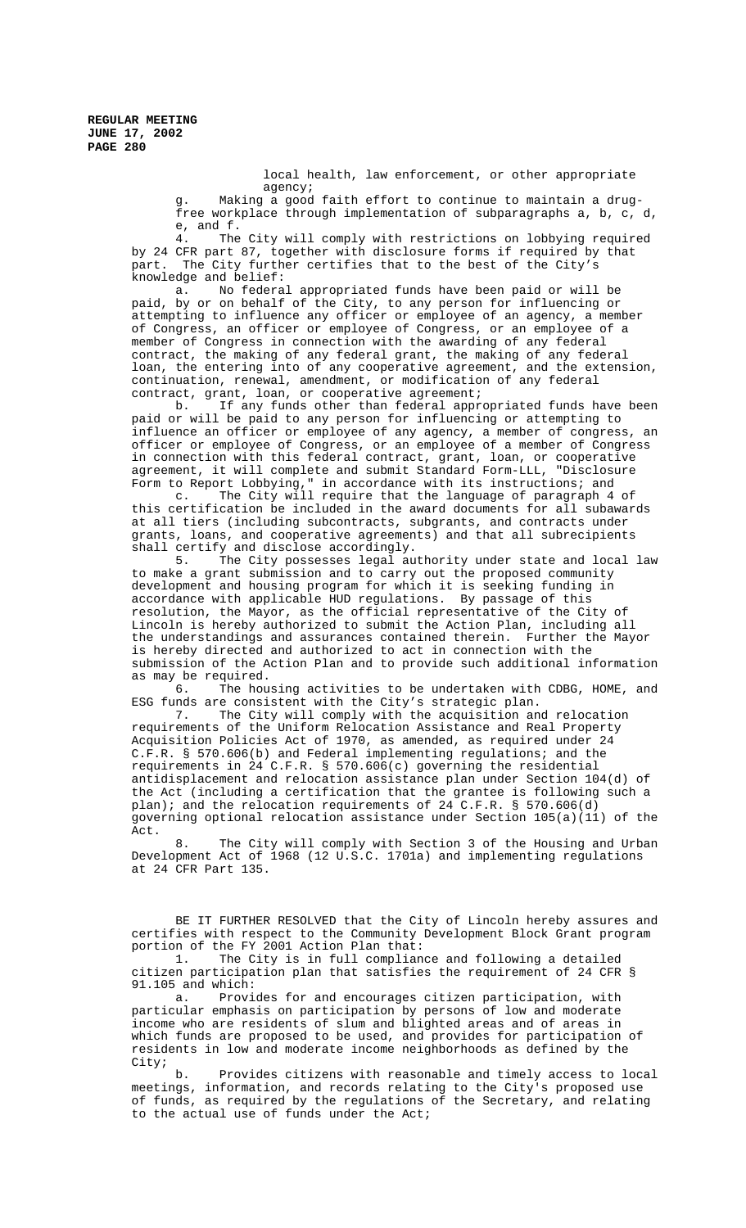> local health, law enforcement, or other appropriate agency;

g. Making a good faith effort to continue to maintain a drugfree workplace through implementation of subparagraphs a, b, c, d, e, and f.

4. The City will comply with restrictions on lobbying required by 24 CFR part 87, together with disclosure forms if required by that part. The City further certifies that to the best of the City's knowledge and belief:

No federal appropriated funds have been paid or will be paid, by or on behalf of the City, to any person for influencing or attempting to influence any officer or employee of an agency, a member of Congress, an officer or employee of Congress, or an employee of a member of Congress in connection with the awarding of any federal contract, the making of any federal grant, the making of any federal loan, the entering into of any cooperative agreement, and the extension, continuation, renewal, amendment, or modification of any federal contract, grant, loan, or cooperative agreement;

b. If any funds other than federal appropriated funds have been paid or will be paid to any person for influencing or attempting to influence an officer or employee of any agency, a member of congress, an officer or employee of Congress, or an employee of a member of Congress in connection with this federal contract, grant, loan, or cooperative agreement, it will complete and submit Standard Form-LLL, "Disclosure Form to Report Lobbying," in accordance with its instructions; and

c. The City will require that the language of paragraph 4 of this certification be included in the award documents for all subawards at all tiers (including subcontracts, subgrants, and contracts under grants, loans, and cooperative agreements) and that all subrecipients shall certify and disclose accordingly.

5. The City possesses legal authority under state and local law to make a grant submission and to carry out the proposed community development and housing program for which it is seeking funding in accordance with applicable HUD regulations. By passage of this resolution, the Mayor, as the official representative of the City of Lincoln is hereby authorized to submit the Action Plan, including all the understandings and assurances contained therein. Further the Mayor is hereby directed and authorized to act in connection with the submission of the Action Plan and to provide such additional information as may be required.

6. The housing activities to be undertaken with CDBG, HOME, and ESG funds are consistent with the City's strategic plan.

7. The City will comply with the acquisition and relocation requirements of the Uniform Relocation Assistance and Real Property Acquisition Policies Act of 1970, as amended, as required under 24 C.F.R. § 570.606(b) and Federal implementing regulations; and the requirements in 24 C.F.R. § 570.606(c) governing the residential antidisplacement and relocation assistance plan under Section 104(d) of the Act (including a certification that the grantee is following such a plan); and the relocation requirements of 24 C.F.R. § 570.606(d) governing optional relocation assistance under Section 105(a)(11) of the Act.

8. The City will comply with Section 3 of the Housing and Urban Development Act of 1968 (12 U.S.C. 1701a) and implementing regulations at 24 CFR Part 135.

BE IT FURTHER RESOLVED that the City of Lincoln hereby assures and certifies with respect to the Community Development Block Grant program portion of the FY 2001 Action Plan that:

1. The City is in full compliance and following a detailed citizen participation plan that satisfies the requirement of 24 CFR § 91.105 and which:

a. Provides for and encourages citizen participation, with particular emphasis on participation by persons of low and moderate income who are residents of slum and blighted areas and of areas in which funds are proposed to be used, and provides for participation of residents in low and moderate income neighborhoods as defined by the City;

b. Provides citizens with reasonable and timely access to local meetings, information, and records relating to the City's proposed use of funds, as required by the regulations of the Secretary, and relating to the actual use of funds under the Act;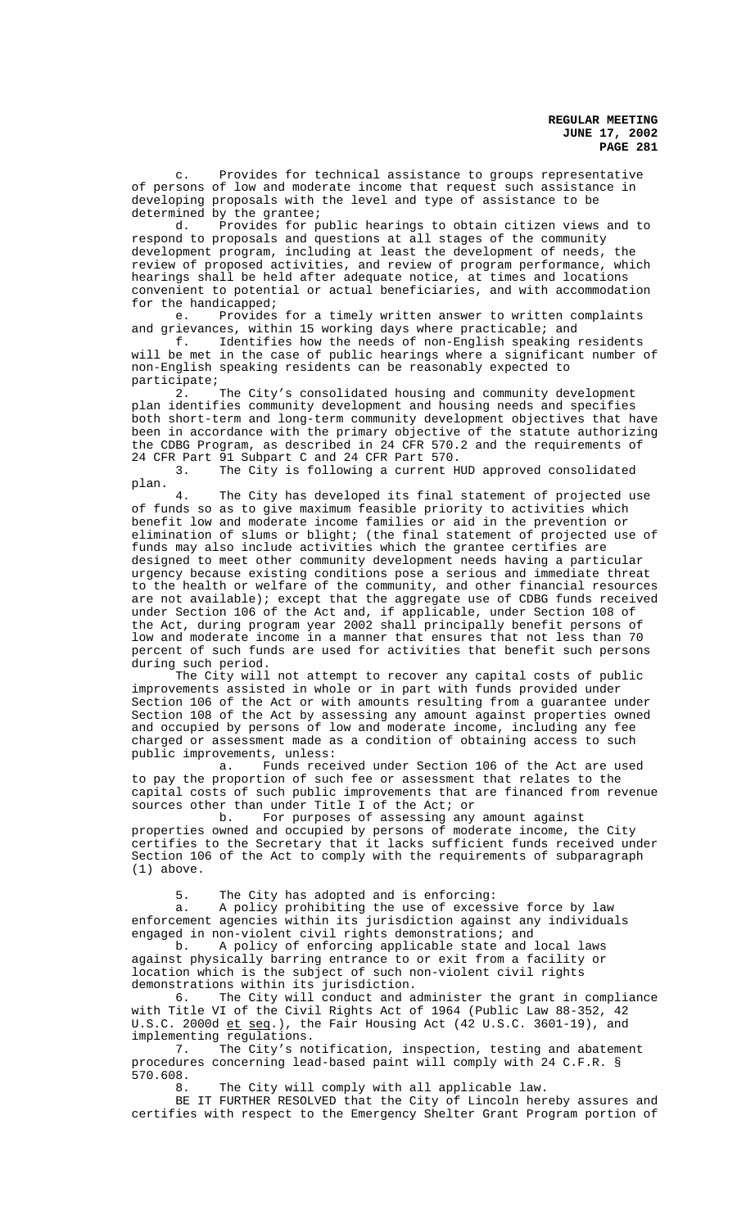c. Provides for technical assistance to groups representative of persons of low and moderate income that request such assistance in developing proposals with the level and type of assistance to be determined by the grantee;

d. Provides for public hearings to obtain citizen views and to respond to proposals and questions at all stages of the community development program, including at least the development of needs, the review of proposed activities, and review of program performance, which hearings shall be held after adequate notice, at times and locations convenient to potential or actual beneficiaries, and with accommodation for the handicapped;

e. Provides for a timely written answer to written complaints and grievances, within 15 working days where practicable; and

f. Identifies how the needs of non-English speaking residents will be met in the case of public hearings where a significant number of non-English speaking residents can be reasonably expected to participate;

2. The City's consolidated housing and community development plan identifies community development and housing needs and specifies both short-term and long-term community development objectives that have been in accordance with the primary objective of the statute authorizing the CDBG Program, as described in 24 CFR 570.2 and the requirements of

24 CFR Part 91 Subpart C and 24 CFR Part 570. The City is following a current HUD approved consolidated plan.

4. The City has developed its final statement of projected use of funds so as to give maximum feasible priority to activities which benefit low and moderate income families or aid in the prevention or elimination of slums or blight; (the final statement of projected use of funds may also include activities which the grantee certifies are designed to meet other community development needs having a particular urgency because existing conditions pose a serious and immediate threat to the health or welfare of the community, and other financial resources are not available); except that the aggregate use of CDBG funds received under Section 106 of the Act and, if applicable, under Section 108 of the Act, during program year 2002 shall principally benefit persons of low and moderate income in a manner that ensures that not less than 70 percent of such funds are used for activities that benefit such persons during such period.

The City will not attempt to recover any capital costs of public improvements assisted in whole or in part with funds provided under Section 106 of the Act or with amounts resulting from a guarantee under Section 108 of the Act by assessing any amount against properties owned and occupied by persons of low and moderate income, including any fee charged or assessment made as a condition of obtaining access to such public improvements, unless:

a. Funds received under Section 106 of the Act are used to pay the proportion of such fee or assessment that relates to the capital costs of such public improvements that are financed from revenue sources other than under Title I of the Act; or

b. For purposes of assessing any amount against properties owned and occupied by persons of moderate income, the City certifies to the Secretary that it lacks sufficient funds received under Section 106 of the Act to comply with the requirements of subparagraph (1) above.

5. The City has adopted and is enforcing:

a. A policy prohibiting the use of excessive force by law enforcement agencies within its jurisdiction against any individuals engaged in non-violent civil rights demonstrations; and

b. A policy of enforcing applicable state and local laws against physically barring entrance to or exit from a facility or location which is the subject of such non-violent civil rights demonstrations within its jurisdiction.

6. The City will conduct and administer the grant in compliance with Title VI of the Civil Rights Act of 1964 (Public Law 88-352, 42 U.S.C. 2000d et seq.), the Fair Housing Act (42 U.S.C. 3601-19), and implementing regulations.

7. The City's notification, inspection, testing and abatement procedures concerning lead-based paint will comply with 24 C.F.R. § 570.608.

8. The City will comply with all applicable law.

BE IT FURTHER RESOLVED that the City of Lincoln hereby assures and certifies with respect to the Emergency Shelter Grant Program portion of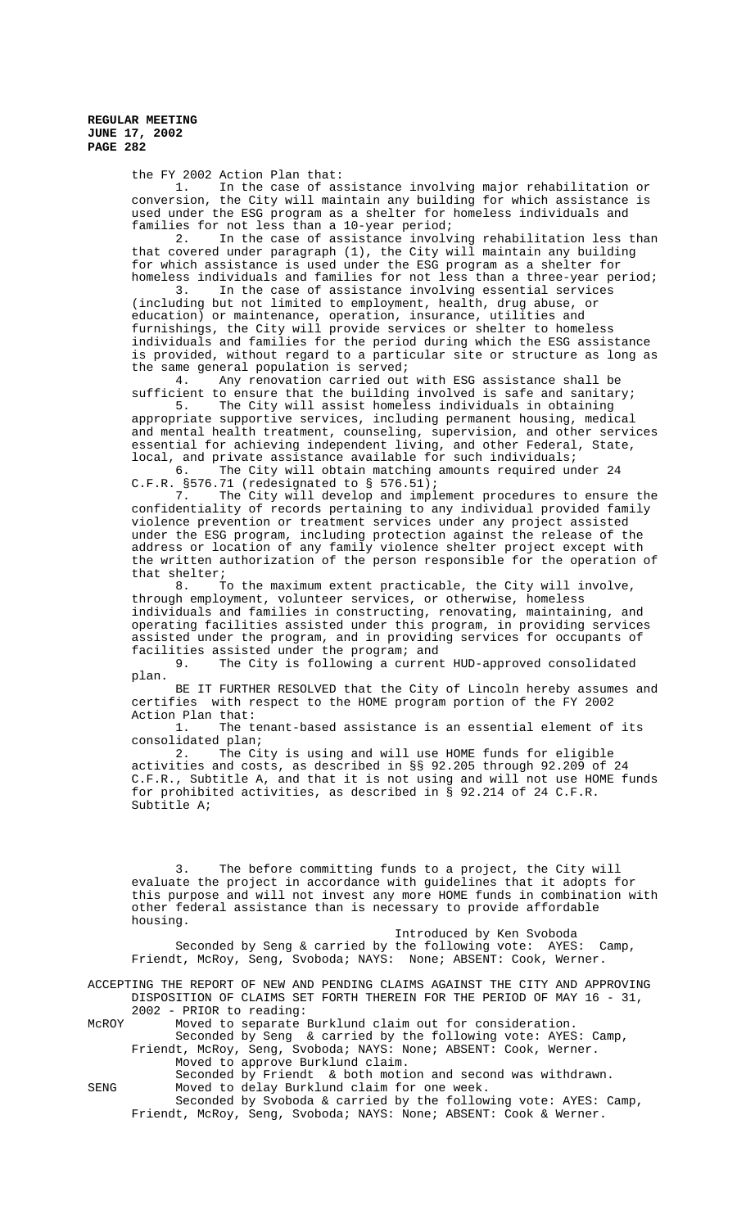the FY 2002 Action Plan that:

1. In the case of assistance involving major rehabilitation or conversion, the City will maintain any building for which assistance is used under the ESG program as a shelter for homeless individuals and families for not less than a 10-year period;

2. In the case of assistance involving rehabilitation less than that covered under paragraph (1), the City will maintain any building for which assistance is used under the ESG program as a shelter for homeless individuals and families for not less than a three-year period;<br>3. In the case of assistance involving essential services

In the case of assistance involving essential services (including but not limited to employment, health, drug abuse, or education) or maintenance, operation, insurance, utilities and furnishings, the City will provide services or shelter to homeless individuals and families for the period during which the ESG assistance is provided, without regard to a particular site or structure as long as the same general population is served;

4. Any renovation carried out with ESG assistance shall be sufficient to ensure that the building involved is safe and sanitary;

5. The City will assist homeless individuals in obtaining appropriate supportive services, including permanent housing, medical and mental health treatment, counseling, supervision, and other services essential for achieving independent living, and other Federal, State, local, and private assistance available for such individuals;<br>6. The City will obtain matching amounts required une

The City will obtain matching amounts required under 24  $C.F.R.$  §576.71 (redesignated to § 576.51);<br>The City will develop and impl

The City will develop and implement procedures to ensure the confidentiality of records pertaining to any individual provided family violence prevention or treatment services under any project assisted under the ESG program, including protection against the release of the address or location of any family violence shelter project except with the written authorization of the person responsible for the operation of that shelter;

8. To the maximum extent practicable, the City will involve, through employment, volunteer services, or otherwise, homeless individuals and families in constructing, renovating, maintaining, and operating facilities assisted under this program, in providing services assisted under the program, and in providing services for occupants of facilities assisted under the program; and<br>9. The City is following a current

The City is following a current HUD-approved consolidated plan.

BE IT FURTHER RESOLVED that the City of Lincoln hereby assumes and certifies with respect to the HOME program portion of the FY 2002 Action Plan that:

1. The tenant-based assistance is an essential element of its consolidated plan;

2. The City is using and will use HOME funds for eligible activities and costs, as described in §§ 92.205 through 92.209 of 24 C.F.R., Subtitle A, and that it is not using and will not use HOME funds for prohibited activities, as described in § 92.214 of 24 C.F.R. Subtitle A;

3. The before committing funds to a project, the City will evaluate the project in accordance with guidelines that it adopts for this purpose and will not invest any more HOME funds in combination with other federal assistance than is necessary to provide affordable housing.

Introduced by Ken Svoboda Seconded by Seng & carried by the following vote: AYES: Camp, Friendt, McRoy, Seng, Svoboda; NAYS: None; ABSENT: Cook, Werner.

ACCEPTING THE REPORT OF NEW AND PENDING CLAIMS AGAINST THE CITY AND APPROVING DISPOSITION OF CLAIMS SET FORTH THEREIN FOR THE PERIOD OF MAY 16 - 31, 2002 - PRIOR to reading:

McROY Moved to separate Burklund claim out for consideration.

Seconded by Seng & carried by the following vote: AYES: Camp, Friendt, McRoy, Seng, Svoboda; NAYS: None; ABSENT: Cook, Werner. Moved to approve Burklund claim.

Seconded by Friendt & both motion and second was withdrawn. SENG Moved to delay Burklund claim for one week.

Seconded by Svoboda & carried by the following vote: AYES: Camp, Friendt, McRoy, Seng, Svoboda; NAYS: None; ABSENT: Cook & Werner.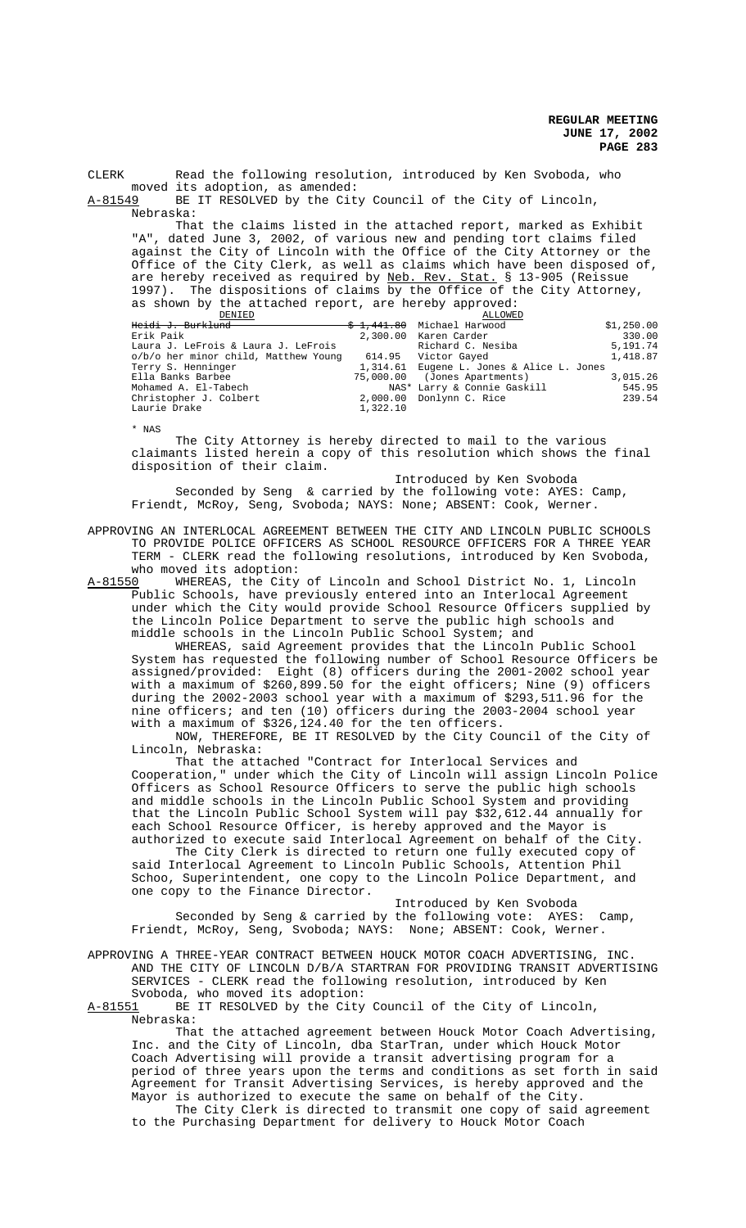CLERK Read the following resolution, introduced by Ken Svoboda, who moved its adoption, as amended:

A-81549 BE IT RESOLVED by the City Council of the City of Lincoln, Nebraska:

That the claims listed in the attached report, marked as Exhibit "A", dated June 3, 2002, of various new and pending tort claims filed against the City of Lincoln with the Office of the City Attorney or the Office of the City Clerk, as well as claims which have been disposed of, are hereby received as required by Neb. Rev. Stat. § 13-905 (Reissue 1997). The dispositions of claims by the Office of the City Attorney, as shown by the attached report, are hereby approved:

| DENIED                               |          | ALLOWED                                   |            |
|--------------------------------------|----------|-------------------------------------------|------------|
| Heidi J. Burklund                    |          | <del>\$ 1,441.80</del> Michael Harwood    | \$1,250.00 |
| Erik Paik                            |          | 2,300.00 Karen Carder                     | 330.00     |
| Laura J. LeFrois & Laura J. LeFrois  |          | Richard C. Nesiba                         | 5,191.74   |
| o/b/o her minor child, Matthew Young |          | 614.95 Victor Gayed                       | 1,418.87   |
| Terry S. Henninger                   |          | 1,314.61 Eugene L. Jones & Alice L. Jones |            |
| Ella Banks Barbee                    |          | 75,000.00 (Jones Apartments)              | 3,015.26   |
| Mohamed A. El-Tabech                 |          | NAS* Larry & Connie Gaskill               | 545.95     |
| Christopher J. Colbert               |          | 2,000.00 Donlynn C. Rice                  | 239.54     |
| Laurie Drake                         | 1,322.10 |                                           |            |
|                                      |          |                                           |            |

\* NAS

The City Attorney is hereby directed to mail to the various claimants listed herein a copy of this resolution which shows the final disposition of their claim.

 Introduced by Ken Svoboda Seconded by Seng & carried by the following vote: AYES: Camp, Friendt, McRoy, Seng, Svoboda; NAYS: None; ABSENT: Cook, Werner.

APPROVING AN INTERLOCAL AGREEMENT BETWEEN THE CITY AND LINCOLN PUBLIC SCHOOLS TO PROVIDE POLICE OFFICERS AS SCHOOL RESOURCE OFFICERS FOR A THREE YEAR TERM - CLERK read the following resolutions, introduced by Ken Svoboda, who moved its adoption:<br>A-81550 WHEREAS, the City

WHEREAS, the City of Lincoln and School District No. 1, Lincoln Public Schools, have previously entered into an Interlocal Agreement under which the City would provide School Resource Officers supplied by the Lincoln Police Department to serve the public high schools and middle schools in the Lincoln Public School System; and

WHEREAS, said Agreement provides that the Lincoln Public School System has requested the following number of School Resource Officers be assigned/provided: Eight (8) officers during the 2001-2002 school year with a maximum of \$260,899.50 for the eight officers; Nine (9) officers during the 2002-2003 school year with a maximum of \$293,511.96 for the nine officers; and ten (10) officers during the 2003-2004 school year with a maximum of \$326,124.40 for the ten officers.

NOW, THEREFORE, BE IT RESOLVED by the City Council of the City of Lincoln, Nebraska:

That the attached "Contract for Interlocal Services and Cooperation," under which the City of Lincoln will assign Lincoln Police Officers as School Resource Officers to serve the public high schools and middle schools in the Lincoln Public School System and providing that the Lincoln Public School System will pay \$32,612.44 annually for each School Resource Officer, is hereby approved and the Mayor is authorized to execute said Interlocal Agreement on behalf of the City.

The City Clerk is directed to return one fully executed copy of said Interlocal Agreement to Lincoln Public Schools, Attention Phil Schoo, Superintendent, one copy to the Lincoln Police Department, and one copy to the Finance Director.

Introduced by Ken Svoboda Seconded by Seng & carried by the following vote: AYES: Camp, Friendt, McRoy, Seng, Svoboda; NAYS: None; ABSENT: Cook, Werner.

# APPROVING A THREE-YEAR CONTRACT BETWEEN HOUCK MOTOR COACH ADVERTISING, INC. AND THE CITY OF LINCOLN D/B/A STARTRAN FOR PROVIDING TRANSIT ADVERTISING SERVICES - CLERK read the following resolution, introduced by Ken Svoboda, who moved its adoption:<br>A-81551 BE IT RESOLVED by the City

BE IT RESOLVED by the City Council of the City of Lincoln, Nebraska:

That the attached agreement between Houck Motor Coach Advertising, Inc. and the City of Lincoln, dba StarTran, under which Houck Motor Coach Advertising will provide a transit advertising program for a period of three years upon the terms and conditions as set forth in said Agreement for Transit Advertising Services, is hereby approved and the Mayor is authorized to execute the same on behalf of the City. The City Clerk is directed to transmit one copy of said agreement

to the Purchasing Department for delivery to Houck Motor Coach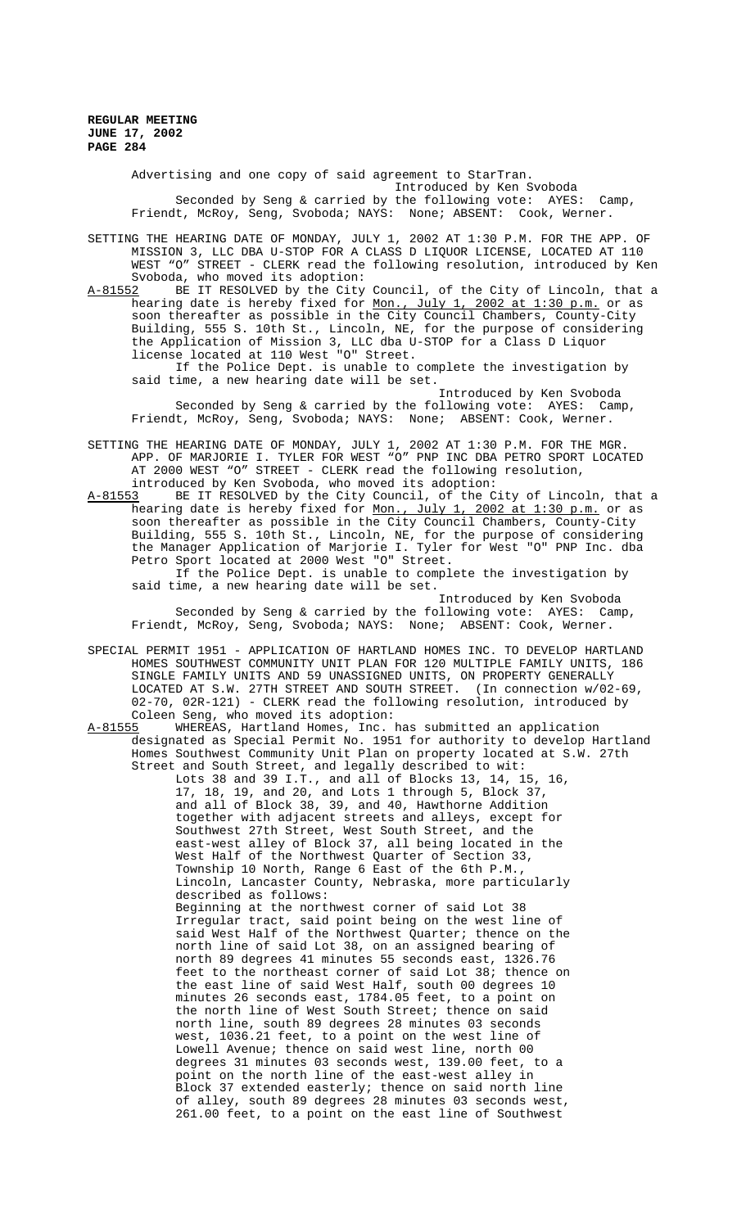Advertising and one copy of said agreement to StarTran.

Introduced by Ken Svoboda

Seconded by Seng & carried by the following vote: AYES: Camp, Friendt, McRoy, Seng, Svoboda; NAYS: None; ABSENT: Cook, Werner.

SETTING THE HEARING DATE OF MONDAY, JULY 1, 2002 AT 1:30 P.M. FOR THE APP. OF MISSION 3, LLC DBA U-STOP FOR A CLASS D LIQUOR LICENSE, LOCATED AT 110 WEST "O" STREET - CLERK read the following resolution, introduced by Ken Svoboda, who moved its adoption:<br>A-81552 BE IT RESOLVED by the City

BE IT RESOLVED by the City Council, of the City of Lincoln, that a hearing date is hereby fixed for <u>Mon., July 1, 2002 at 1:30 p.m.</u> or as soon thereafter as possible in the City Council Chambers, County-City Building, 555 S. 10th St., Lincoln, NE, for the purpose of considering the Application of Mission 3, LLC dba U-STOP for a Class D Liquor license located at 110 West "O" Street.

If the Police Dept. is unable to complete the investigation by said time, a new hearing date will be set.

Introduced by Ken Svoboda Seconded by Seng & carried by the following vote: AYES: Camp, Friendt, McRoy, Seng, Svoboda; NAYS: None; ABSENT: Cook, Werner.

SETTING THE HEARING DATE OF MONDAY, JULY 1, 2002 AT 1:30 P.M. FOR THE MGR. APP. OF MARJORIE I. TYLER FOR WEST "O" PNP INC DBA PETRO SPORT LOCATED AT 2000 WEST "O" STREET - CLERK read the following resolution,

introduced by Ken Svoboda, who moved its adoption:<br>A-81553 BE IT RESOLVED by the City Council, of the C BE IT RESOLVED by the City Council, of the City of Lincoln, that a hearing date is hereby fixed for Mon., July 1, 2002 at 1:30 p.m. or as soon thereafter as possible in the City Council Chambers, County-City Building, 555 S. 10th St., Lincoln, NE, for the purpose of considering the Manager Application of Marjorie I. Tyler for West "O" PNP Inc. dba Petro Sport located at 2000 West "O" Street.

If the Police Dept. is unable to complete the investigation by said time, a new hearing date will be set.

Introduced by Ken Svoboda Seconded by Seng & carried by the following vote: AYES: Camp, Friendt, McRoy, Seng, Svoboda; NAYS: None; ABSENT: Cook, Werner.

SPECIAL PERMIT 1951 - APPLICATION OF HARTLAND HOMES INC. TO DEVELOP HARTLAND HOMES SOUTHWEST COMMUNITY UNIT PLAN FOR 120 MULTIPLE FAMILY UNITS, 186 SINGLE FAMILY UNITS AND 59 UNASSIGNED UNITS, ON PROPERTY GENERALLY LOCATED AT S.W. 27TH STREET AND SOUTH STREET. (In connection w/02-69, 02-70, 02R-121) - CLERK read the following resolution, introduced by Coleen Seng, who moved its adoption:

A-81555 WHEREAS, Hartland Homes, Inc. has submitted an application designated as Special Permit No. 1951 for authority to develop Hartland Homes Southwest Community Unit Plan on property located at S.W. 27th Street and South Street, and legally described to wit:

Lots 38 and 39 I.T., and all of Blocks 13, 14, 15, 16, 17, 18, 19, and 20, and Lots 1 through 5, Block 37, and all of Block 38, 39, and 40, Hawthorne Addition together with adjacent streets and alleys, except for Southwest 27th Street, West South Street, and the east-west alley of Block 37, all being located in the West Half of the Northwest Quarter of Section 33, Township 10 North, Range 6 East of the 6th P.M., Lincoln, Lancaster County, Nebraska, more particularly described as follows: Beginning at the northwest corner of said Lot 38 Irregular tract, said point being on the west line of said West Half of the Northwest Quarter; thence on the north line of said Lot 38, on an assigned bearing of north 89 degrees 41 minutes 55 seconds east, 1326.76 feet to the northeast corner of said Lot 38; thence on the east line of said West Half, south 00 degrees 10 minutes 26 seconds east, 1784.05 feet, to a point on the north line of West South Street; thence on said north line, south 89 degrees 28 minutes 03 seconds west, 1036.21 feet, to a point on the west line of Lowell Avenue; thence on said west line, north 00 degrees 31 minutes 03 seconds west, 139.00 feet, to a point on the north line of the east-west alley in Block 37 extended easterly; thence on said north line of alley, south 89 degrees 28 minutes 03 seconds west, 261.00 feet, to a point on the east line of Southwest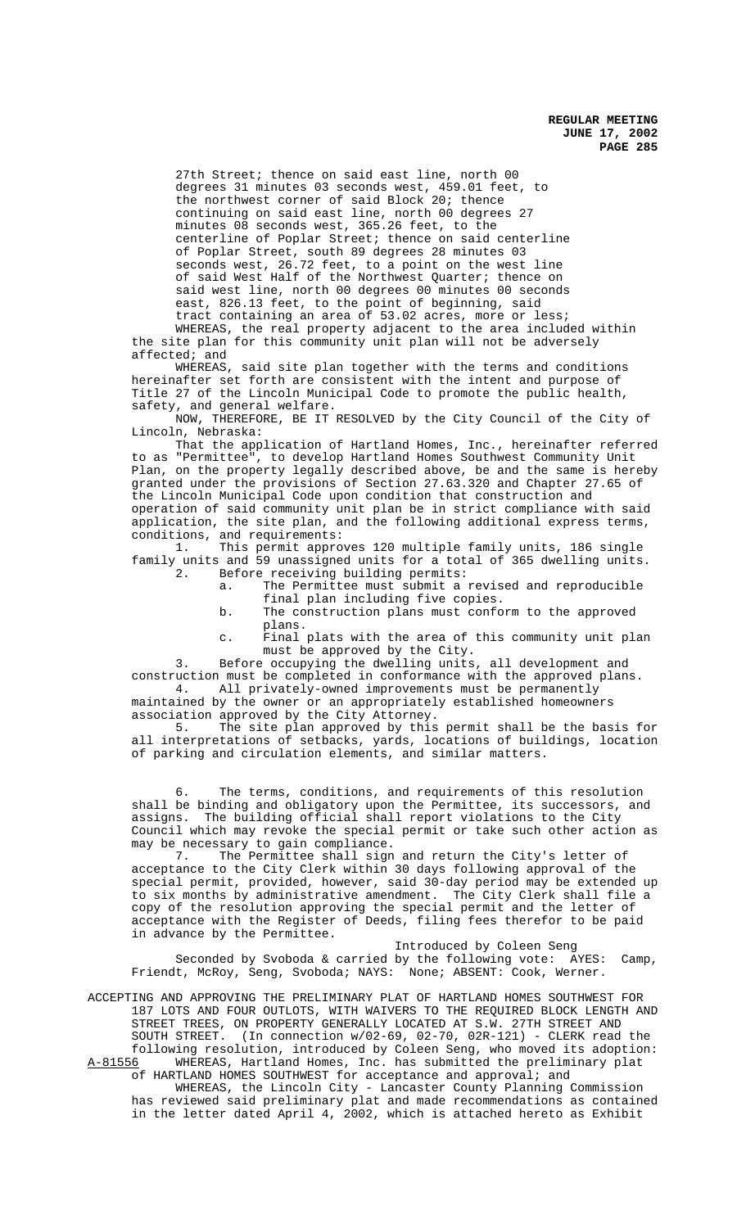27th Street; thence on said east line, north 00 degrees 31 minutes 03 seconds west, 459.01 feet, to the northwest corner of said Block 20; thence continuing on said east line, north 00 degrees 27 minutes 08 seconds west, 365.26 feet, to the centerline of Poplar Street; thence on said centerline of Poplar Street, south 89 degrees 28 minutes 03 seconds west, 26.72 feet, to a point on the west line of said West Half of the Northwest Quarter; thence on said west line, north 00 degrees 00 minutes 00 seconds east, 826.13 feet, to the point of beginning, said tract containing an area of 53.02 acres, more or less; WHEREAS, the real property adjacent to the area included within

the site plan for this community unit plan will not be adversely affected; and WHEREAS, said site plan together with the terms and conditions

hereinafter set forth are consistent with the intent and purpose of Title 27 of the Lincoln Municipal Code to promote the public health, safety, and general welfare.

NOW, THEREFORE, BE IT RESOLVED by the City Council of the City of Lincoln, Nebraska:

That the application of Hartland Homes, Inc., hereinafter referred to as "Permittee", to develop Hartland Homes Southwest Community Unit Plan, on the property legally described above, be and the same is hereby granted under the provisions of Section 27.63.320 and Chapter 27.65 of the Lincoln Municipal Code upon condition that construction and operation of said community unit plan be in strict compliance with said application, the site plan, and the following additional express terms, conditions, and requirements:

1. This permit approves 120 multiple family units, 186 single family units and 59 unassigned units for a total of 365 dwelling units. 2. Before receiving building permits:

a. The Permittee must submit a revised and reproducible final plan including five copies.

b. The construction plans must conform to the approved plans.

c. Final plats with the area of this community unit plan must be approved by the City.

3. Before occupying the dwelling units, all development and construction must be completed in conformance with the approved plans. 4. All privately-owned improvements must be permanently

maintained by the owner or an appropriately established homeowners association approved by the City Attorney.

5. The site plan approved by this permit shall be the basis for all interpretations of setbacks, yards, locations of buildings, location of parking and circulation elements, and similar matters.

6. The terms, conditions, and requirements of this resolution shall be binding and obligatory upon the Permittee, its successors, and assigns. The building official shall report violations to the City Council which may revoke the special permit or take such other action as may be necessary to gain compliance.<br>7. The Permittee shall sign

The Permittee shall sign and return the City's letter of acceptance to the City Clerk within 30 days following approval of the special permit, provided, however, said 30-day period may be extended up to six months by administrative amendment. The City Clerk shall file a copy of the resolution approving the special permit and the letter of acceptance with the Register of Deeds, filing fees therefor to be paid in advance by the Permittee.

Introduced by Coleen Seng Seconded by Svoboda & carried by the following vote: AYES: Camp, Friendt, McRoy, Seng, Svoboda; NAYS: None; ABSENT: Cook, Werner.

ACCEPTING AND APPROVING THE PRELIMINARY PLAT OF HARTLAND HOMES SOUTHWEST FOR 187 LOTS AND FOUR OUTLOTS, WITH WAIVERS TO THE REQUIRED BLOCK LENGTH AND STREET TREES, ON PROPERTY GENERALLY LOCATED AT S.W. 27TH STREET AND SOUTH STREET. (In connection w/02-69, 02-70, 02R-121) - CLERK read the following resolution, introduced by Coleen Seng, who moved its adoption: A-81556 MHEREAS, Hartland Homes, Inc. has submitted the preliminary plat of HARTLAND HOMES SOUTHWEST for acceptance and approval; and

WHEREAS, the Lincoln City - Lancaster County Planning Commission has reviewed said preliminary plat and made recommendations as contained in the letter dated April 4, 2002, which is attached hereto as Exhibit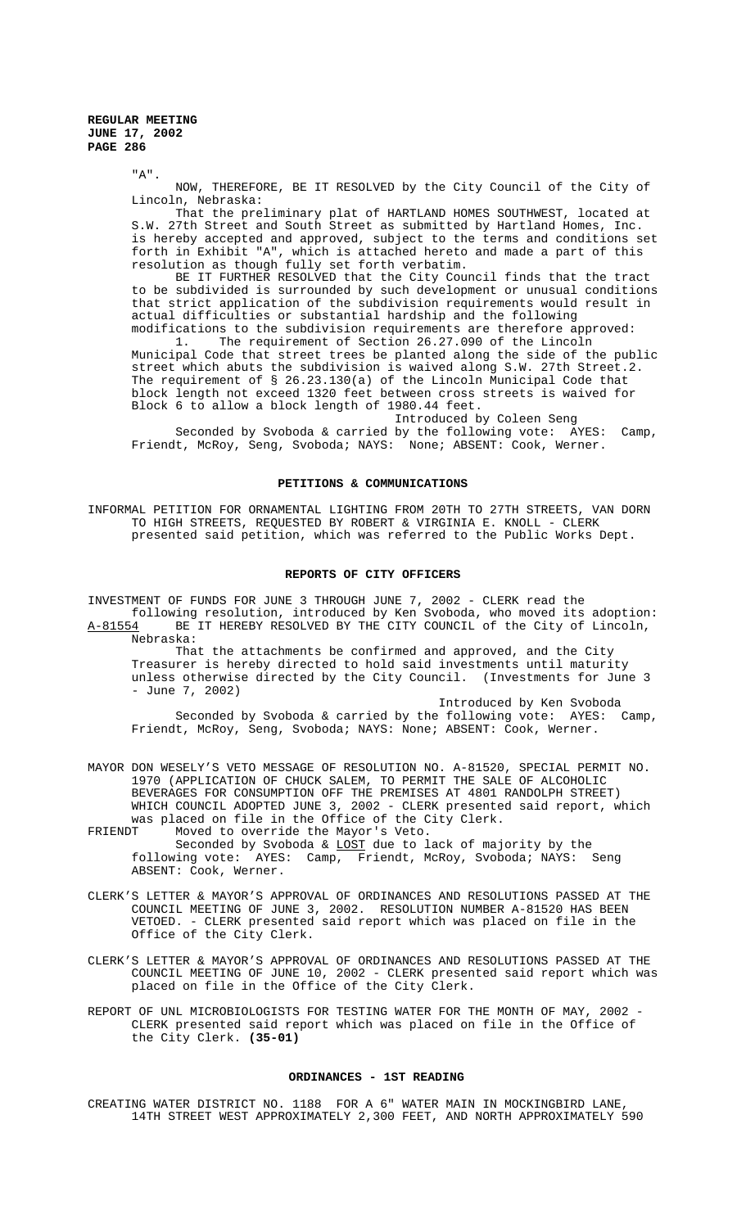"A".

NOW, THEREFORE, BE IT RESOLVED by the City Council of the City of Lincoln, Nebraska:

That the preliminary plat of HARTLAND HOMES SOUTHWEST, located at S.W. 27th Street and South Street as submitted by Hartland Homes, Inc. is hereby accepted and approved, subject to the terms and conditions set forth in Exhibit "A", which is attached hereto and made a part of this resolution as though fully set forth verbatim.

BE IT FURTHER RESOLVED that the City Council finds that the tract to be subdivided is surrounded by such development or unusual conditions that strict application of the subdivision requirements would result in actual difficulties or substantial hardship and the following modifications to the subdivision requirements are therefore approved:<br>1. The requirement of Section 26.27.090 of the Lincoln

The requirement of Section 26.27.090 of the Lincoln Municipal Code that street trees be planted along the side of the public street which abuts the subdivision is waived along S.W. 27th Street.2. The requirement of § 26.23.130(a) of the Lincoln Municipal Code that block length not exceed 1320 feet between cross streets is waived for Block 6 to allow a block length of 1980.44 feet.

Introduced by Coleen Seng Seconded by Svoboda & carried by the following vote: AYES: Camp, Friendt, McRoy, Seng, Svoboda; NAYS: None; ABSENT: Cook, Werner.

#### **PETITIONS & COMMUNICATIONS**

INFORMAL PETITION FOR ORNAMENTAL LIGHTING FROM 20TH TO 27TH STREETS, VAN DORN TO HIGH STREETS, REQUESTED BY ROBERT & VIRGINIA E. KNOLL - CLERK presented said petition, which was referred to the Public Works Dept.

### **REPORTS OF CITY OFFICERS**

INVESTMENT OF FUNDS FOR JUNE 3 THROUGH JUNE 7, 2002 - CLERK read the following resolution, introduced by Ken Svoboda, who moved its adoption: A-81554 BE IT HEREBY RESOLVED BY THE CITY COUNCIL of the City of Lincoln, Nebraska:

That the attachments be confirmed and approved, and the City Treasurer is hereby directed to hold said investments until maturity unless otherwise directed by the City Council. (Investments for June 3 - June 7, 2002)

Introduced by Ken Svoboda Seconded by Svoboda & carried by the following vote: AYES: Camp, Friendt, McRoy, Seng, Svoboda; NAYS: None; ABSENT: Cook, Werner.

MAYOR DON WESELY'S VETO MESSAGE OF RESOLUTION NO. A-81520, SPECIAL PERMIT NO. 1970 (APPLICATION OF CHUCK SALEM, TO PERMIT THE SALE OF ALCOHOLIC BEVERAGES FOR CONSUMPTION OFF THE PREMISES AT 4801 RANDOLPH STREET) WHICH COUNCIL ADOPTED JUNE 3, 2002 - CLERK presented said report, which was placed on file in the Office of the City Clerk.

FRIENDT Moved to override the Mayor's Veto. Seconded by Svoboda & LOST due to lack of majority by the following vote: AYES: Camp, Friendt, McRoy, Svoboda; NAYS: Seng ABSENT: Cook, Werner.

- CLERK'S LETTER & MAYOR'S APPROVAL OF ORDINANCES AND RESOLUTIONS PASSED AT THE COUNCIL MEETING OF JUNE 3, 2002. RESOLUTION NUMBER A-81520 HAS BEEN VETOED. - CLERK presented said report which was placed on file in the Office of the City Clerk.
- CLERK'S LETTER & MAYOR'S APPROVAL OF ORDINANCES AND RESOLUTIONS PASSED AT THE COUNCIL MEETING OF JUNE 10, 2002 - CLERK presented said report which was placed on file in the Office of the City Clerk.

REPORT OF UNL MICROBIOLOGISTS FOR TESTING WATER FOR THE MONTH OF MAY, 2002 - CLERK presented said report which was placed on file in the Office of the City Clerk. **(35-01)**

# **ORDINANCES - 1ST READING**

CREATING WATER DISTRICT NO. 1188 FOR A 6" WATER MAIN IN MOCKINGBIRD LANE, 14TH STREET WEST APPROXIMATELY 2,300 FEET, AND NORTH APPROXIMATELY 590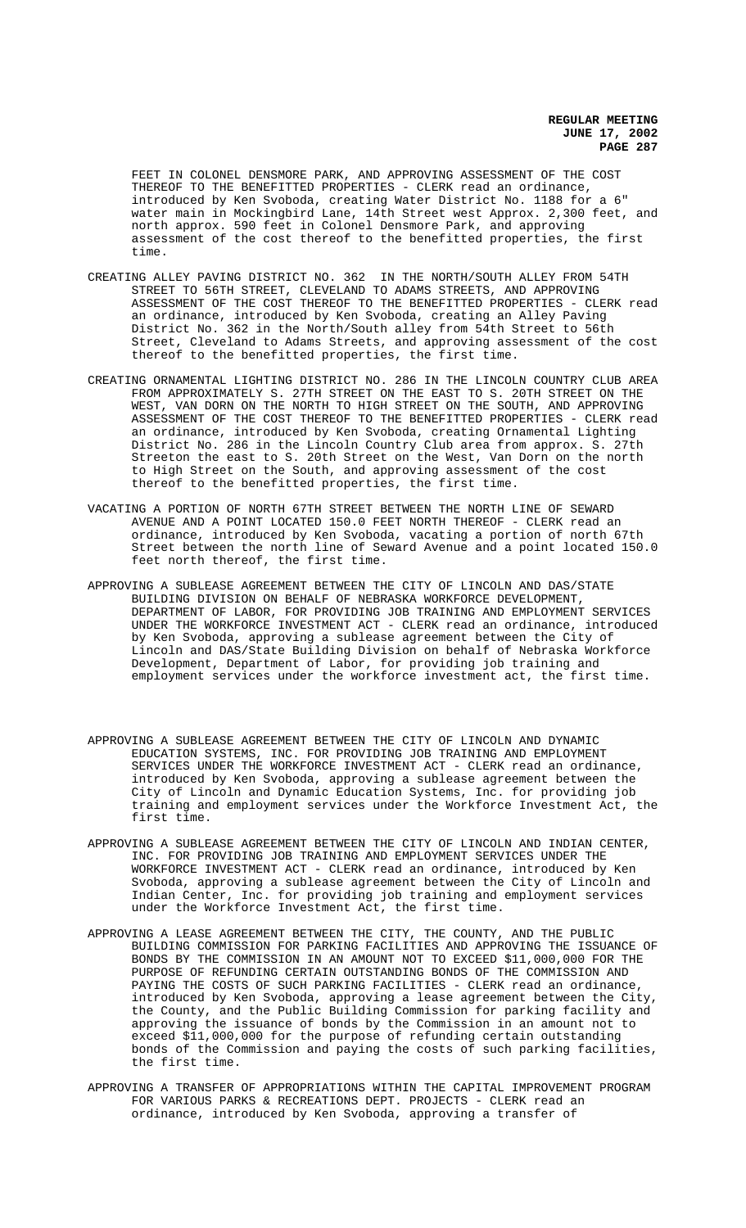FEET IN COLONEL DENSMORE PARK, AND APPROVING ASSESSMENT OF THE COST THEREOF TO THE BENEFITTED PROPERTIES - CLERK read an ordinance, introduced by Ken Svoboda, creating Water District No. 1188 for a 6" water main in Mockingbird Lane, 14th Street west Approx. 2,300 feet, and north approx. 590 feet in Colonel Densmore Park, and approving assessment of the cost thereof to the benefitted properties, the first time.

- CREATING ALLEY PAVING DISTRICT NO. 362 IN THE NORTH/SOUTH ALLEY FROM 54TH STREET TO 56TH STREET, CLEVELAND TO ADAMS STREETS, AND APPROVING ASSESSMENT OF THE COST THEREOF TO THE BENEFITTED PROPERTIES - CLERK read an ordinance, introduced by Ken Svoboda, creating an Alley Paving District No. 362 in the North/South alley from 54th Street to 56th Street, Cleveland to Adams Streets, and approving assessment of the cost thereof to the benefitted properties, the first time.
- CREATING ORNAMENTAL LIGHTING DISTRICT NO. 286 IN THE LINCOLN COUNTRY CLUB AREA FROM APPROXIMATELY S. 27TH STREET ON THE EAST TO S. 20TH STREET ON THE WEST, VAN DORN ON THE NORTH TO HIGH STREET ON THE SOUTH, AND APPROVING ASSESSMENT OF THE COST THEREOF TO THE BENEFITTED PROPERTIES - CLERK read an ordinance, introduced by Ken Svoboda, creating Ornamental Lighting District No. 286 in the Lincoln Country Club area from approx. S. 27th Streeton the east to S. 20th Street on the West, Van Dorn on the north to High Street on the South, and approving assessment of the cost thereof to the benefitted properties, the first time.
- VACATING A PORTION OF NORTH 67TH STREET BETWEEN THE NORTH LINE OF SEWARD AVENUE AND A POINT LOCATED 150.0 FEET NORTH THEREOF - CLERK read an ordinance, introduced by Ken Svoboda, vacating a portion of north 67th Street between the north line of Seward Avenue and a point located 150.0 feet north thereof, the first time.
- APPROVING A SUBLEASE AGREEMENT BETWEEN THE CITY OF LINCOLN AND DAS/STATE BUILDING DIVISION ON BEHALF OF NEBRASKA WORKFORCE DEVELOPMENT, DEPARTMENT OF LABOR, FOR PROVIDING JOB TRAINING AND EMPLOYMENT SERVICES UNDER THE WORKFORCE INVESTMENT ACT - CLERK read an ordinance, introduced by Ken Svoboda, approving a sublease agreement between the City of Lincoln and DAS/State Building Division on behalf of Nebraska Workforce Development, Department of Labor, for providing job training and employment services under the workforce investment act, the first time.
- APPROVING A SUBLEASE AGREEMENT BETWEEN THE CITY OF LINCOLN AND DYNAMIC EDUCATION SYSTEMS, INC. FOR PROVIDING JOB TRAINING AND EMPLOYMENT SERVICES UNDER THE WORKFORCE INVESTMENT ACT - CLERK read an ordinance, introduced by Ken Svoboda, approving a sublease agreement between the City of Lincoln and Dynamic Education Systems, Inc. for providing job training and employment services under the Workforce Investment Act, the first time.
- APPROVING A SUBLEASE AGREEMENT BETWEEN THE CITY OF LINCOLN AND INDIAN CENTER, INC. FOR PROVIDING JOB TRAINING AND EMPLOYMENT SERVICES UNDER THE WORKFORCE INVESTMENT ACT - CLERK read an ordinance, introduced by Ken Svoboda, approving a sublease agreement between the City of Lincoln and Indian Center, Inc. for providing job training and employment services under the Workforce Investment Act, the first time.
- APPROVING A LEASE AGREEMENT BETWEEN THE CITY, THE COUNTY, AND THE PUBLIC BUILDING COMMISSION FOR PARKING FACILITIES AND APPROVING THE ISSUANCE OF BONDS BY THE COMMISSION IN AN AMOUNT NOT TO EXCEED \$11,000,000 FOR THE PURPOSE OF REFUNDING CERTAIN OUTSTANDING BONDS OF THE COMMISSION AND PAYING THE COSTS OF SUCH PARKING FACILITIES - CLERK read an ordinance, introduced by Ken Svoboda, approving a lease agreement between the City, the County, and the Public Building Commission for parking facility and approving the issuance of bonds by the Commission in an amount not to exceed \$11,000,000 for the purpose of refunding certain outstanding bonds of the Commission and paying the costs of such parking facilities, the first time.
- APPROVING A TRANSFER OF APPROPRIATIONS WITHIN THE CAPITAL IMPROVEMENT PROGRAM FOR VARIOUS PARKS & RECREATIONS DEPT. PROJECTS - CLERK read an ordinance, introduced by Ken Svoboda, approving a transfer of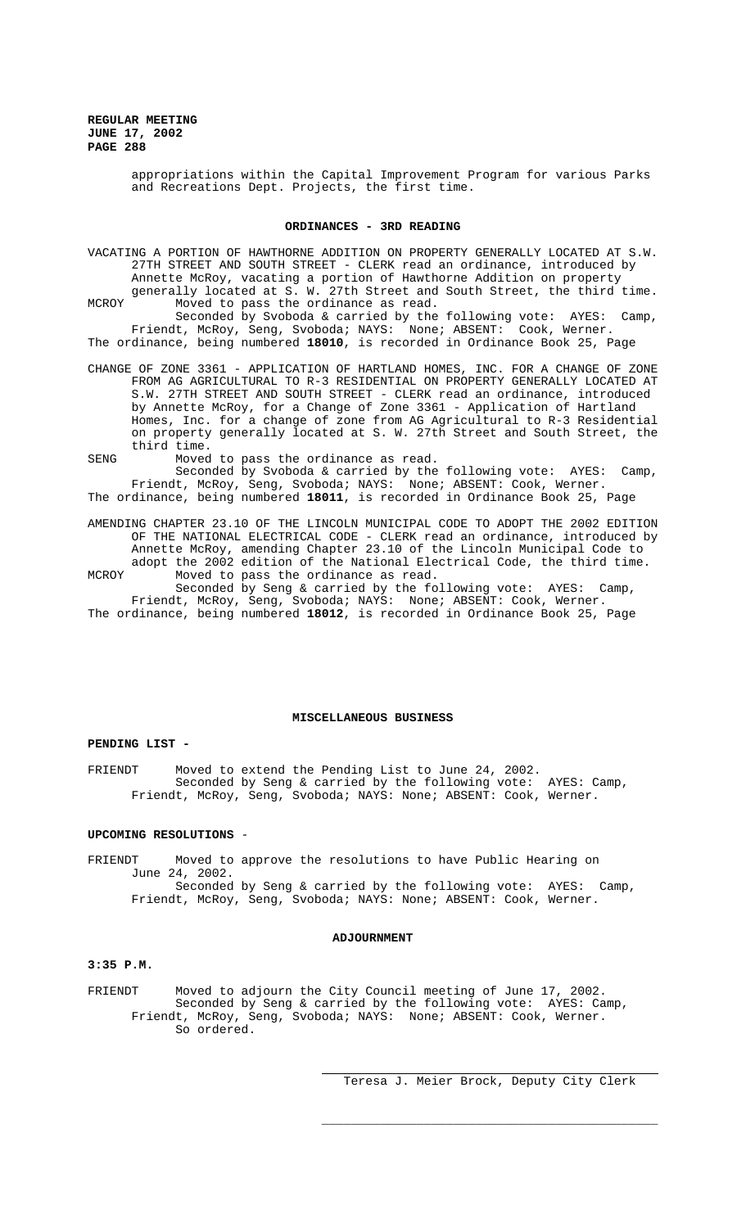> appropriations within the Capital Improvement Program for various Parks and Recreations Dept. Projects, the first time.

## **ORDINANCES - 3RD READING**

VACATING A PORTION OF HAWTHORNE ADDITION ON PROPERTY GENERALLY LOCATED AT S.W. 27TH STREET AND SOUTH STREET - CLERK read an ordinance, introduced by Annette McRoy, vacating a portion of Hawthorne Addition on property generally located at S. W. 27th Street and South Street, the third time. MCROY Moved to pass the ordinance as read.

Seconded by Svoboda & carried by the following vote: AYES: Camp, Friendt, McRoy, Seng, Svoboda; NAYS: None; ABSENT: Cook, Werner. The ordinance, being numbered **18010**, is recorded in Ordinance Book 25, Page

- CHANGE OF ZONE 3361 APPLICATION OF HARTLAND HOMES, INC. FOR A CHANGE OF ZONE FROM AG AGRICULTURAL TO R-3 RESIDENTIAL ON PROPERTY GENERALLY LOCATED AT S.W. 27TH STREET AND SOUTH STREET - CLERK read an ordinance, introduced by Annette McRoy, for a Change of Zone 3361 - Application of Hartland Homes, Inc. for a change of zone from AG Agricultural to R-3 Residential on property generally located at S. W. 27th Street and South Street, the third time.
- SENG Moved to pass the ordinance as read.

Seconded by Svoboda & carried by the following vote: AYES: Camp, Friendt, McRoy, Seng, Svoboda; NAYS: None; ABSENT: Cook, Werner. The ordinance, being numbered **18011**, is recorded in Ordinance Book 25, Page

AMENDING CHAPTER 23.10 OF THE LINCOLN MUNICIPAL CODE TO ADOPT THE 2002 EDITION OF THE NATIONAL ELECTRICAL CODE - CLERK read an ordinance, introduced by Annette McRoy, amending Chapter 23.10 of the Lincoln Municipal Code to adopt the 2002 edition of the National Electrical Code, the third time. MCROY Moved to pass the ordinance as read.

Seconded by Seng & carried by the following vote: AYES: Camp, Friendt, McRoy, Seng, Svoboda; NAYS: None; ABSENT: Cook, Werner. The ordinance, being numbered **18012**, is recorded in Ordinance Book 25, Page

#### **MISCELLANEOUS BUSINESS**

## **PENDING LIST -**

FRIENDT Moved to extend the Pending List to June 24, 2002. Seconded by Seng & carried by the following vote: AYES: Camp, Friendt, McRoy, Seng, Svoboda; NAYS: None; ABSENT: Cook, Werner.

## **UPCOMING RESOLUTIONS** -

FRIENDT Moved to approve the resolutions to have Public Hearing on June 24, 2002. Seconded by Seng & carried by the following vote: AYES: Camp, Friendt, McRoy, Seng, Svoboda; NAYS: None; ABSENT: Cook, Werner.

#### **ADJOURNMENT**

#### **3:35 P.M.**

FRIENDT Moved to adjourn the City Council meeting of June 17, 2002. Seconded by Seng & carried by the following vote: AYES: Camp, Friendt, McRoy, Seng, Svoboda; NAYS: None; ABSENT: Cook, Werner. So ordered.

 $\overline{a}$ 

Teresa J. Meier Brock, Deputy City Clerk

\_\_\_\_\_\_\_\_\_\_\_\_\_\_\_\_\_\_\_\_\_\_\_\_\_\_\_\_\_\_\_\_\_\_\_\_\_\_\_\_\_\_\_\_\_\_